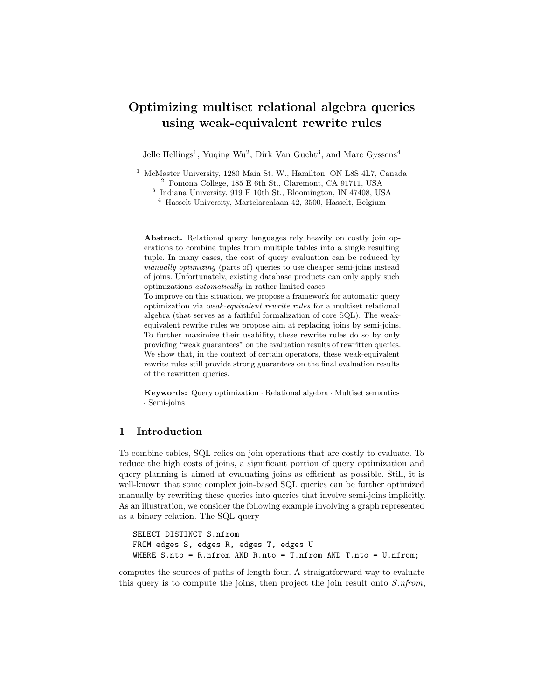# Optimizing multiset relational algebra queries using weak-equivalent rewrite rules

Jelle Hellings<sup>1</sup>, Yuqing Wu<sup>2</sup>, Dirk Van Gucht<sup>3</sup>, and Marc Gyssens<sup>4</sup>

<sup>4</sup> Hasselt University, Martelarenlaan 42, 3500, Hasselt, Belgium

Abstract. Relational query languages rely heavily on costly join operations to combine tuples from multiple tables into a single resulting tuple. In many cases, the cost of query evaluation can be reduced by manually optimizing (parts of) queries to use cheaper semi-joins instead of joins. Unfortunately, existing database products can only apply such optimizations automatically in rather limited cases.

To improve on this situation, we propose a framework for automatic query optimization via weak-equivalent rewrite rules for a multiset relational algebra (that serves as a faithful formalization of core SQL). The weakequivalent rewrite rules we propose aim at replacing joins by semi-joins. To further maximize their usability, these rewrite rules do so by only providing "weak guarantees" on the evaluation results of rewritten queries. We show that, in the context of certain operators, these weak-equivalent rewrite rules still provide strong guarantees on the final evaluation results of the rewritten queries.

Keywords: Query optimization · Relational algebra · Multiset semantics · Semi-joins

## 1 Introduction

To combine tables, SQL relies on join operations that are costly to evaluate. To reduce the high costs of joins, a significant portion of query optimization and query planning is aimed at evaluating joins as efficient as possible. Still, it is well-known that some complex join-based SQL queries can be further optimized manually by rewriting these queries into queries that involve semi-joins implicitly. As an illustration, we consider the following example involving a graph represented as a binary relation. The SQL query

```
SELECT DISTINCT S.nfrom
FROM edges S, edges R, edges T, edges U
WHERE S.nto = R.nfrom AND R.nto = T.nfrom AND T.nto = U.nfrom;
```
computes the sources of paths of length four. A straightforward way to evaluate this query is to compute the joins, then project the join result onto  $S.nfrom$ ,

<sup>1</sup> McMaster University, 1280 Main St. W., Hamilton, ON L8S 4L7, Canada  $^2$  Pomona College, 185 E 6th St., Claremont, CA 91711, USA

<sup>3</sup> Indiana University, 919 E 10th St., Bloomington, IN 47408, USA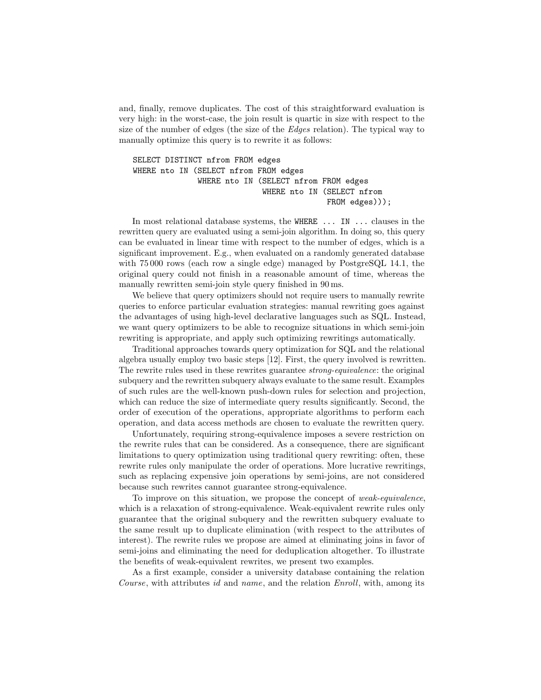and, finally, remove duplicates. The cost of this straightforward evaluation is very high: in the worst-case, the join result is quartic in size with respect to the size of the number of edges (the size of the Edges relation). The typical way to manually optimize this query is to rewrite it as follows:

SELECT DISTINCT nfrom FROM edges WHERE nto IN (SELECT nfrom FROM edges WHERE nto IN (SELECT nfrom FROM edges WHERE nto IN (SELECT nfrom FROM edges)));

In most relational database systems, the WHERE ... IN ... clauses in the rewritten query are evaluated using a semi-join algorithm. In doing so, this query can be evaluated in linear time with respect to the number of edges, which is a significant improvement. E.g., when evaluated on a randomly generated database with 75 000 rows (each row a single edge) managed by PostgreSQL 14.1, the original query could not finish in a reasonable amount of time, whereas the manually rewritten semi-join style query finished in 90 ms.

We believe that query optimizers should not require users to manually rewrite queries to enforce particular evaluation strategies: manual rewriting goes against the advantages of using high-level declarative languages such as SQL. Instead, we want query optimizers to be able to recognize situations in which semi-join rewriting is appropriate, and apply such optimizing rewritings automatically.

Traditional approaches towards query optimization for SQL and the relational algebra usually employ two basic steps [12]. First, the query involved is rewritten. The rewrite rules used in these rewrites guarantee strong-equivalence: the original subquery and the rewritten subquery always evaluate to the same result. Examples of such rules are the well-known push-down rules for selection and projection, which can reduce the size of intermediate query results significantly. Second, the order of execution of the operations, appropriate algorithms to perform each operation, and data access methods are chosen to evaluate the rewritten query.

Unfortunately, requiring strong-equivalence imposes a severe restriction on the rewrite rules that can be considered. As a consequence, there are significant limitations to query optimization using traditional query rewriting: often, these rewrite rules only manipulate the order of operations. More lucrative rewritings, such as replacing expensive join operations by semi-joins, are not considered because such rewrites cannot guarantee strong-equivalence.

To improve on this situation, we propose the concept of weak-equivalence, which is a relaxation of strong-equivalence. Weak-equivalent rewrite rules only guarantee that the original subquery and the rewritten subquery evaluate to the same result up to duplicate elimination (with respect to the attributes of interest). The rewrite rules we propose are aimed at eliminating joins in favor of semi-joins and eliminating the need for deduplication altogether. To illustrate the benefits of weak-equivalent rewrites, we present two examples.

As a first example, consider a university database containing the relation Course, with attributes id and name, and the relation Enroll, with, among its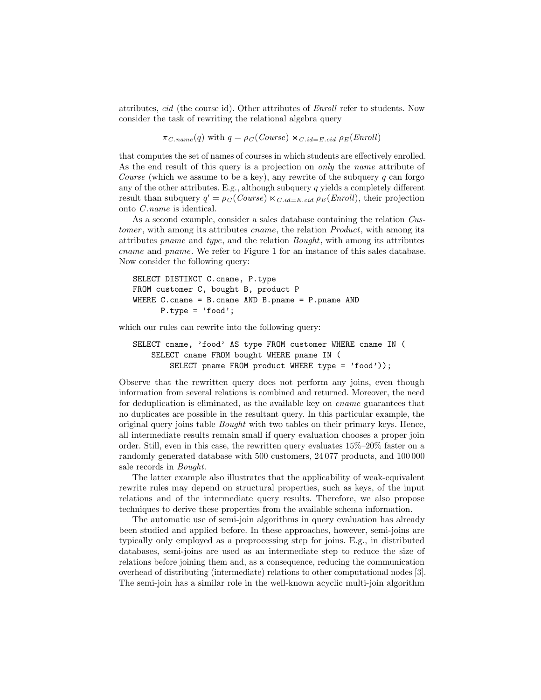attributes, cid (the course id). Other attributes of Enroll refer to students. Now consider the task of rewriting the relational algebra query

$$
\pi_{C.name}(q)
$$
 with  $q = \rho_C(Course) \bowtie_{C.id = E.cid} \rho_E(Enroll)$ 

that computes the set of names of courses in which students are effectively enrolled. As the end result of this query is a projection on *only* the *name* attribute of Course (which we assume to be a key), any rewrite of the subquery q can forgo any of the other attributes. E.g., although subquery q yields a completely different result than subquery  $q' = \rho_C(Course) \ltimes_{C.id = E.cid} \rho_E(Enroll)$ , their projection onto C .name is identical.

As a second example, consider a sales database containing the relation Customer, with among its attributes *cname*, the relation *Product*, with among its attributes pname and type, and the relation Bought, with among its attributes cname and pname. We refer to Figure 1 for an instance of this sales database. Now consider the following query:

```
SELECT DISTINCT C.cname, P.type
FROM customer C, bought B, product P
WHERE C.\text{name} = B.\text{name AND } B.\text{pname} = P.\text{pname AND}P.type = 'food';
```
which our rules can rewrite into the following query:

```
SELECT cname, 'food' AS type FROM customer WHERE cname IN (
    SELECT cname FROM bought WHERE pname IN (
        SELECT pname FROM product WHERE type = 'food'));
```
Observe that the rewritten query does not perform any joins, even though information from several relations is combined and returned. Moreover, the need for deduplication is eliminated, as the available key on cname guarantees that no duplicates are possible in the resultant query. In this particular example, the original query joins table Bought with two tables on their primary keys. Hence, all intermediate results remain small if query evaluation chooses a proper join order. Still, even in this case, the rewritten query evaluates 15%–20% faster on a randomly generated database with 500 customers, 24 077 products, and 100 000 sale records in Bought.

The latter example also illustrates that the applicability of weak-equivalent rewrite rules may depend on structural properties, such as keys, of the input relations and of the intermediate query results. Therefore, we also propose techniques to derive these properties from the available schema information.

The automatic use of semi-join algorithms in query evaluation has already been studied and applied before. In these approaches, however, semi-joins are typically only employed as a preprocessing step for joins. E.g., in distributed databases, semi-joins are used as an intermediate step to reduce the size of relations before joining them and, as a consequence, reducing the communication overhead of distributing (intermediate) relations to other computational nodes [3]. The semi-join has a similar role in the well-known acyclic multi-join algorithm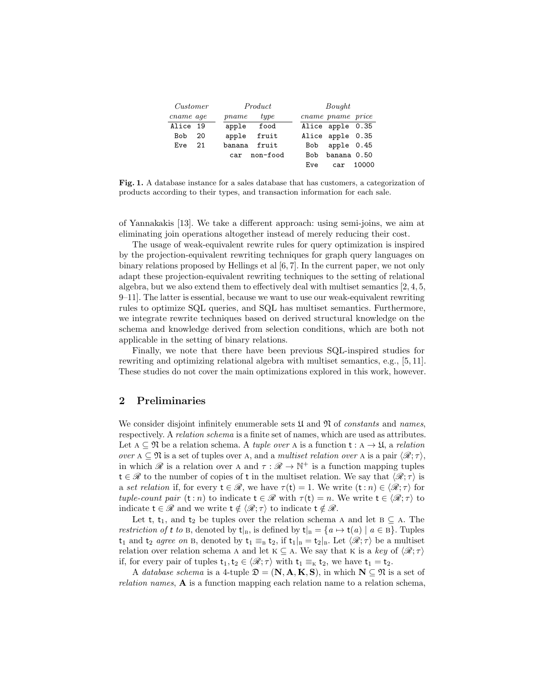| Customer  |    |        | Product  |            | Bought                   |       |  |
|-----------|----|--------|----------|------------|--------------------------|-------|--|
| cname age |    | pname  | type     |            | <i>cname prame price</i> |       |  |
| Alice 19  |    | apple  | food     |            | Alice apple 0.35         |       |  |
| Bob       | 20 | apple  | fruit    |            | Alice apple 0.35         |       |  |
| Eve       | 21 | banana | fruit    | Bob        | apple 0.45               |       |  |
|           |    | car    | non-food | <b>Bob</b> | banana 0.50              |       |  |
|           |    |        |          | Eve        | car                      | 10000 |  |

Fig. 1. A database instance for a sales database that has customers, a categorization of products according to their types, and transaction information for each sale.

of Yannakakis [13]. We take a different approach: using semi-joins, we aim at eliminating join operations altogether instead of merely reducing their cost.

The usage of weak-equivalent rewrite rules for query optimization is inspired by the projection-equivalent rewriting techniques for graph query languages on binary relations proposed by Hellings et al [6, 7]. In the current paper, we not only adapt these projection-equivalent rewriting techniques to the setting of relational algebra, but we also extend them to effectively deal with multiset semantics  $[2, 4, 5, 5]$ 9–11]. The latter is essential, because we want to use our weak-equivalent rewriting rules to optimize SQL queries, and SQL has multiset semantics. Furthermore, we integrate rewrite techniques based on derived structural knowledge on the schema and knowledge derived from selection conditions, which are both not applicable in the setting of binary relations.

Finally, we note that there have been previous SQL-inspired studies for rewriting and optimizing relational algebra with multiset semantics, e.g., [5, 11]. These studies do not cover the main optimizations explored in this work, however.

## 2 Preliminaries

We consider disjoint infinitely enumerable sets  $\mathfrak U$  and  $\mathfrak N$  of *constants* and *names*, respectively. A relation schema is a finite set of names, which are used as attributes. Let  $A \subseteq \mathfrak{N}$  be a relation schema. A tuple over A is a function  $t : A \to \mathfrak{U}$ , a relation over  $A \subseteq \mathfrak{N}$  is a set of tuples over A, and a multiset relation over A is a pair  $\langle \mathcal{R}; \tau \rangle$ , in which  $\mathscr R$  is a relation over A and  $\tau : \mathscr R \to \mathbb N^+$  is a function mapping tuples  $t \in \mathcal{R}$  to the number of copies of t in the multiset relation. We say that  $\langle \mathcal{R}; \tau \rangle$  is a set relation if, for every  $t \in \mathcal{R}$ , we have  $\tau(t) = 1$ . We write  $(t : n) \in \langle \mathcal{R}; \tau \rangle$  for tuple-count pair  $(t : n)$  to indicate  $t \in \mathcal{R}$  with  $\tau(t) = n$ . We write  $t \in \langle \mathcal{R}; \tau \rangle$  to indicate  $t \in \mathcal{R}$  and we write  $t \notin \langle \mathcal{R}; \tau \rangle$  to indicate  $t \notin \mathcal{R}$ .

Let t,  $t_1$ , and  $t_2$  be tuples over the relation schema A and let  $B \subseteq A$ . The *restriction of t to* B, denoted by  $t|_B$ , is defined by  $t|_B = \{a \mapsto t(a) | a \in B\}$ . Tuples  $t_1$  and  $t_2$  agree on B, denoted by  $t_1 \equiv_B t_2$ , if  $t_1|_B = t_2|_B$ . Let  $\langle \mathcal{R}; \tau \rangle$  be a multiset relation over relation schema A and let  $K \subseteq A$ . We say that K is a key of  $\langle \mathcal{R}; \tau \rangle$ if, for every pair of tuples  $t_1, t_2 \in \langle \mathcal{R}; \tau \rangle$  with  $t_1 \equiv_K t_2$ , we have  $t_1 = t_2$ .

A database schema is a 4-tuple  $\mathfrak{D} = (\mathbf{N}, \mathbf{A}, \mathbf{K}, \mathbf{S})$ , in which  $\mathbf{N} \subseteq \mathfrak{N}$  is a set of relation names, A is a function mapping each relation name to a relation schema,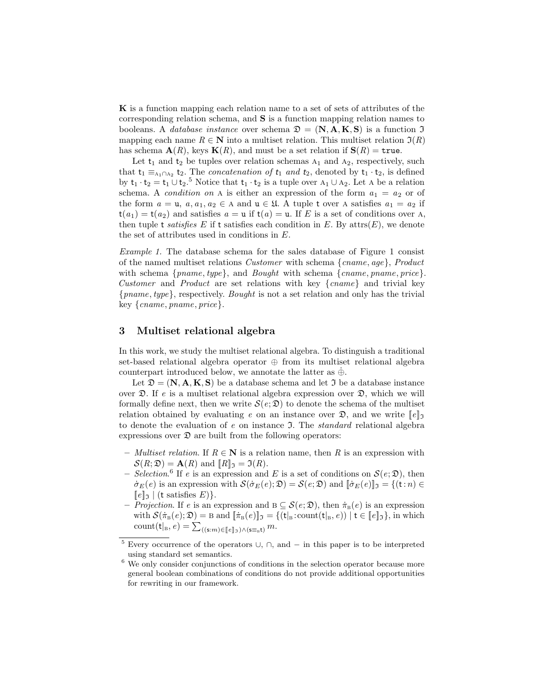K is a function mapping each relation name to a set of sets of attributes of the corresponding relation schema, and S is a function mapping relation names to booleans. A *database instance* over schema  $\mathfrak{D} = (\mathbf{N}, \mathbf{A}, \mathbf{K}, \mathbf{S})$  is a function  $\mathfrak{I}$ mapping each name  $R \in \mathbb{N}$  into a multiset relation. This multiset relation  $\mathfrak{I}(R)$ has schema  $\mathbf{A}(R)$ , keys  $\mathbf{K}(R)$ , and must be a set relation if  $\mathbf{S}(R) = \text{true}$ .

Let  $t_1$  and  $t_2$  be tuples over relation schemas  $A_1$  and  $A_2$ , respectively, such that  $t_1 \equiv_{A_1 \cap A_2} t_2$ . The *concatenation of*  $t_1$  *and*  $t_2$ , denoted by  $t_1 \cdot t_2$ , is defined by  $t_1 \cdot t_2 = t_1 \cup t_2$ .<sup>5</sup> Notice that  $t_1 \cdot t_2$  is a tuple over  $A_1 \cup A_2$ . Let A be a relation schema. A *condition on* A is either an expression of the form  $a_1 = a_2$  or of the form  $a = u$ ,  $a_1, a_2 \in A$  and  $u \in \mathfrak{U}$ . A tuple t over A satisfies  $a_1 = a_2$  if  $t(a_1) = t(a_2)$  and satisfies  $a = u$  if  $t(a) = u$ . If E is a set of conditions over A, then tuple t satisfies E if t satisfies each condition in E. By  $\text{attrs}(E)$ , we denote the set of attributes used in conditions in E.

Example 1. The database schema for the sales database of Figure 1 consist of the named multiset relations Customer with schema {cname, age}, Product with schema  ${pname, type}$ , and *Bought* with schema  ${cancel, name, price}$ . Customer and Product are set relations with key  $\{cname\}$  and trivial key {pname, type}, respectively. Bought is not a set relation and only has the trivial key {cname, pname, price}.

### 3 Multiset relational algebra

In this work, we study the multiset relational algebra. To distinguish a traditional set-based relational algebra operator ⊕ from its multiset relational algebra counterpart introduced below, we annotate the latter as  $\oplus$ .

Let  $\mathfrak{D} = (\mathbf{N}, \mathbf{A}, \mathbf{K}, \mathbf{S})$  be a database schema and let  $\mathfrak{I}$  be a database instance over  $\mathfrak{D}$ . If e is a multiset relational algebra expression over  $\mathfrak{D}$ , which we will formally define next, then we write  $\mathcal{S}(e;\mathfrak{D})$  to denote the schema of the multiset relation obtained by evaluating e on an instance over  $\mathfrak{D}$ , and we write  $\llbracket e \rrbracket_3$ to denote the evaluation of  $e$  on instance  $\mathfrak{I}$ . The *standard* relational algebra expressions over  $\mathfrak D$  are built from the following operators:

- Multiset relation. If  $R \in \mathbb{N}$  is a relation name, then R is an expression with  $\mathcal{S}(R; \mathfrak{D}) = \mathbf{A}(R)$  and  $\llbracket R \rrbracket_{\mathfrak{I}} = \mathfrak{I}(R)$ .
- Selection.<sup>6</sup> If e is an expression and E is a set of conditions on  $\mathcal{S}(e;\mathfrak{D})$ , then  $\dot{\sigma}_E(e)$  is an expression with  $\mathcal{S}(\dot{\sigma}_E(e); \mathfrak{D}) = \mathcal{S}(e; \mathfrak{D})$  and  $[\dot{\sigma}_E(e)]_{\mathfrak{I}} = \{(t : n) \in$  $\llbracket e \rrbracket$ <sub>J</sub> | (t satisfies E) }.
- Projection. If e is an expression and  $B \subseteq \mathcal{S}(e;\mathfrak{D})$ , then  $\pi_B(e)$  is an expression with  $\mathcal{S}(\pi_{\text{B}}(e); \mathfrak{D}) = \text{B}$  and  $[\![\dot{\pi}_{\text{B}}(e)]\!]_{\mathfrak{I}} = \{(\mathsf{t}|_{\text{B}}:\text{count}(\mathsf{t}|_{\text{B}}, e)) \mid \mathsf{t} \in [\![e]\!]_{\mathfrak{I}}\}$ , in which  $\text{count}(\mathsf{t}|_{\text{\tiny B}},e) = \sum_{\substack{(\mathsf{s}:m)\in[\![e]\!]_{\mathfrak{I}}}}\sum_{\substack{\mathsf{s} \in \mathfrak{I}}} m.$

<sup>&</sup>lt;sup>5</sup> Every occurrence of the operators  $\cup$ ,  $\cap$ , and  $-$  in this paper is to be interpreted using standard set semantics.

<sup>6</sup> We only consider conjunctions of conditions in the selection operator because more general boolean combinations of conditions do not provide additional opportunities for rewriting in our framework.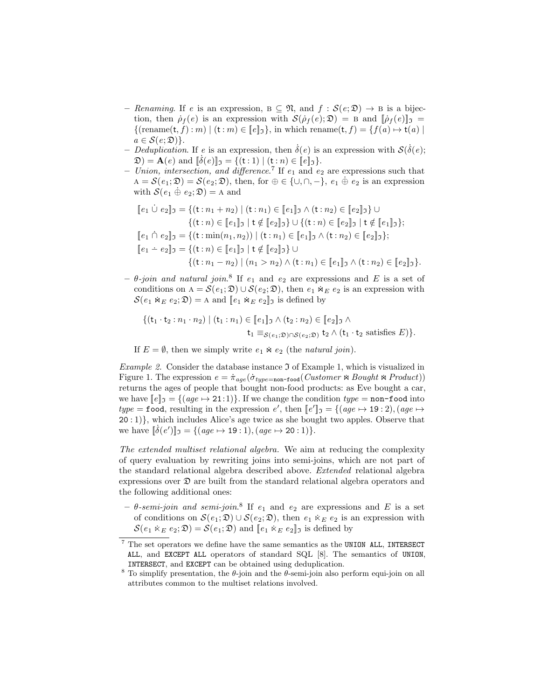- Renaming. If e is an expression,  $B \subseteq \mathfrak{N}$ , and  $f : \mathcal{S}(e; \mathfrak{D}) \to B$  is a bijection, then  $\dot{\rho}_f(e)$  is an expression with  $\mathcal{S}(\dot{\rho}_f(e); \mathcal{D}) = \mathbb{B}$  and  $[\dot{\rho}_f(e)]_{\mathcal{D}} =$  $\{(\text{rename}(\mathsf{t}, f) : m) \mid (\mathsf{t} : m) \in [\![e]\!]_3\},\$  in which rename $(\mathsf{t}, f) = \{f(a) \mapsto \mathsf{t}(a) \mid \mathsf{t}(a) \in [\![e]\!]_3\}$  $a \in \mathcal{S}(e;\mathfrak{D})\}.$
- Deduplication. If e is an expression, then  $\dot{\delta}(e)$  is an expression with  $\mathcal{S}(\dot{\delta}(e))$ ;  $\mathfrak{D} = \mathbf{A}(e)$  and  $\llbracket \delta(e) \rrbracket_{\mathfrak{I}} = \{ (\mathsf{t} : 1) \mid (\mathsf{t} : n) \in \llbracket e \rrbracket_{\mathfrak{I}} \}.$
- Union, intersection, and difference.<sup>7</sup> If  $e_1$  and  $e_2$  are expressions such that  $A = \mathcal{S}(e_1; \mathfrak{D}) = \mathcal{S}(e_2; \mathfrak{D})$ , then, for  $\oplus \in \{\cup, \cap, -\}, e_1 \oplus e_2$  is an expression with  $\mathcal{S}(e_1 \oplus e_2; \mathfrak{D}) = A$  and

$$
[e_1 \cup e_2]_{\mathfrak{I}} = \{ (\mathbf{t} : n_1 + n_2) \mid (\mathbf{t} : n_1) \in [e_1]_{\mathfrak{I}} \land (\mathbf{t} : n_2) \in [e_2]_{\mathfrak{I}} \} \cup \{ (\mathbf{t} : n) \in [e_1]_{\mathfrak{I}} \mid \mathbf{t} \notin [e_2]_{\mathfrak{I}} \} \cup \{ (\mathbf{t} : n) \in [e_2]_{\mathfrak{I}} \mid \mathbf{t} \notin [e_1]_{\mathfrak{I}} \}; [e_1 \cap e_2]_{\mathfrak{I}} = \{ (\mathbf{t} : \min(n_1, n_2)) \mid (\mathbf{t} : n_1) \in [e_1]_{\mathfrak{I}} \land (\mathbf{t} : n_2) \in [e_2]_{\mathfrak{I}} \}; [e_1 \div e_2]_{\mathfrak{I}} = \{ (\mathbf{t} : n) \in [e_1]_{\mathfrak{I}} \mid \mathbf{t} \notin [e_2]_{\mathfrak{I}} \} \cup \{ (\mathbf{t} : n_1 - n_2) \mid (n_1 > n_2) \land (\mathbf{t} : n_1) \in [e_1]_{\mathfrak{I}} \land (\mathbf{t} : n_2) \in [e_2]_{\mathfrak{I}} \}.
$$

 $- \theta$ -join and natural join.<sup>8</sup> If  $e_1$  and  $e_2$  are expressions and E is a set of conditions on  $A = \mathcal{S}(e_1; \mathfrak{D}) \cup \mathcal{S}(e_2; \mathfrak{D})$ , then  $e_1 \times e_2$  is an expression with  $\mathcal{S}(e_1 \Join_E e_2; \mathcal{D}) = A$  and  $\llbracket e_1 \Join_E e_2 \rrbracket_2$  is defined by

$$
\{(t_1 \cdot t_2 : n_1 \cdot n_2) \mid (t_1 : n_1) \in [\![e_1]\!]_{\mathfrak{I}} \land (t_2 : n_2) \in [\![e_2]\!]_{\mathfrak{I}} \land \n t_1 \equiv_{\mathcal{S}(e_1; \mathfrak{D}) \cap \mathcal{S}(e_2; \mathfrak{D})} t_2 \land (t_1 \cdot t_2 \text{ satisfies } E)\}.
$$

If  $E = \emptyset$ , then we simply write  $e_1 \Join e_2$  (the natural join).

Example 2. Consider the database instance  $\Im$  of Example 1, which is visualized in Figure 1. The expression  $e = \dot{\pi}_{age}(\dot{\sigma}_{type=non-food}(Customer \Join Bought \Join Product))$ returns the ages of people that bought non-food products: as Eve bought a car, we have  $[e]_1 = \{(age \rightarrow 21:1)\}$ . If we change the condition  $type = \text{non-food}$  into  $type = \texttt{food}, \, \text{resulting} \, \text{in the expression} \, \, e', \, \text{then} \, \, [e']_3 = \{(\text{age} \mapsto \text{19 : 2}), (\text{age} \mapsto \text{19 : 3})\}$ 20 : 1)}, which includes Alice's age twice as she bought two apples. Observe that we have  $[\dot{\delta}(e')]_{\mathfrak{I}} = \{ (age \mapsto 19 : 1), (age \mapsto 20 : 1) \}.$ 

The extended multiset relational algebra. We aim at reducing the complexity of query evaluation by rewriting joins into semi-joins, which are not part of the standard relational algebra described above. Extended relational algebra expressions over D are built from the standard relational algebra operators and the following additional ones:

 $- \theta$ -semi-join and semi-join.<sup>8</sup> If  $e_1$  and  $e_2$  are expressions and E is a set of conditions on  $\mathcal{S}(e_1, \mathcal{D}) \cup \mathcal{S}(e_2, \mathcal{D})$ , then  $e_1 \ltimes_{E} e_2$  is an expression with  $\mathcal{S}(e_1 \ltimes_E e_2; \mathfrak{D}) = \mathcal{S}(e_1; \mathfrak{D})$  and  $\llbracket e_1 \ltimes_E e_2 \rrbracket_2$  is defined by

<sup>&</sup>lt;sup>7</sup> The set operators we define have the same semantics as the UNION ALL, INTERSECT ALL, and EXCEPT ALL operators of standard SQL [8]. The semantics of UNION, INTERSECT, and EXCEPT can be obtained using deduplication.

<sup>&</sup>lt;sup>8</sup> To simplify presentation, the  $\theta$ -join and the  $\theta$ -semi-join also perform equi-join on all attributes common to the multiset relations involved.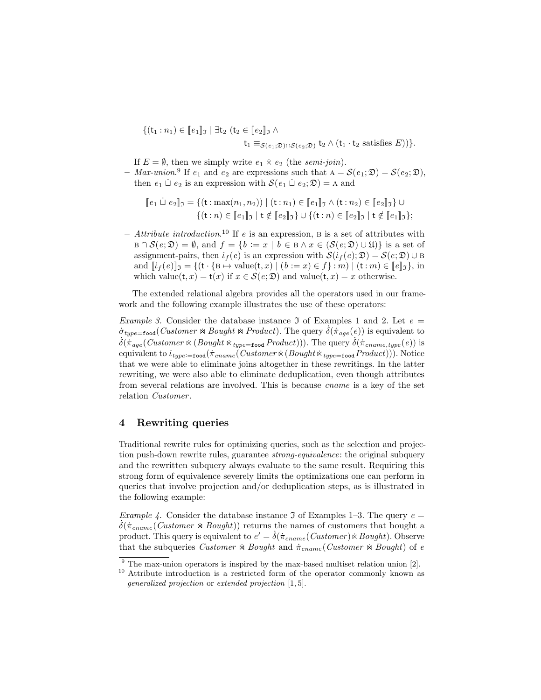${(t_1 : n_1) \in [e_1]_{\mathfrak{I}} | \exists t_2 \ (t_2 \in [e_2]_{\mathfrak{I}} \wedge$  $t_1 \equiv_{\mathcal{S}(e_1; \mathfrak{D}) \cap \mathcal{S}(e_2; \mathfrak{D})} t_2 \wedge (t_1 \cdot t_2 \text{ satisfies } E))\}.$ 

If  $E = \emptyset$ , then we simply write  $e_1 \nless e_2$  (the semi-join).

- Max-union.<sup>9</sup> If  $e_1$  and  $e_2$  are expressions such that  $A = \mathcal{S}(e_1; \mathfrak{D}) = \mathcal{S}(e_2; \mathfrak{D}),$ then  $e_1 \rvert e_2$  is an expression with  $\mathcal{S}(e_1 \rvert e_2; \mathfrak{D}) = A$  and

$$
\begin{aligned} [e_1 \cup e_2]_{\mathfrak{I}} &= \{ (\mathbf{t} : \max(n_1, n_2)) \mid (\mathbf{t} : n_1) \in [e_1]_{\mathfrak{I}} \land (\mathbf{t} : n_2) \in [e_2]_{\mathfrak{I}} \} \cup \\ & \{ (\mathbf{t} : n) \in [e_1]_{\mathfrak{I}} \mid \mathbf{t} \notin [e_2]_{\mathfrak{I}} \} \cup \{ (\mathbf{t} : n) \in [e_2]_{\mathfrak{I}} \mid \mathbf{t} \notin [e_1]_{\mathfrak{I}} \}; \end{aligned}
$$

 $-$  Attribute introduction.<sup>10</sup> If e is an expression, B is a set of attributes with  $B \cap \mathcal{S}(e;\mathfrak{D}) = \emptyset$ , and  $f = \{b := x \mid b \in B \land x \in (\mathcal{S}(e;\mathfrak{D}) \cup \mathfrak{U})\}$  is a set of assignment-pairs, then  $i_f(e)$  is an expression with  $\mathcal{S}(i_f(e); \mathcal{D}) = \mathcal{S}(e; \mathcal{D}) \cup B$ and  $[i_f(e)]_g = \{ (\mathbf{t} \cdot {\mathbf{B}} \mapsto \text{value}(\mathbf{t}, x) \mid (b := x) \in f \} : m) \mid (\mathbf{t} : m) \in [e]_g \}, \text{ in }$ which value(t, x) = t(x) if  $x \in \mathcal{S}(e;\mathfrak{D})$  and value(t, x) = x otherwise.

The extended relational algebra provides all the operators used in our framework and the following example illustrates the use of these operators:

*Example 3.* Consider the database instance  $\Im$  of Examples 1 and 2. Let  $e =$  $\dot{\sigma}_{type=\texttt{food}}(Customer \times Bought \times Product)$ . The query  $\delta(\dot{\pi}_{age}(e))$  is equivalent to  $\dot{\delta}(\dot{\pi}_{age}(Customer \times (Bought \times_{type=\texttt{food}} Product)))$ . The query  $\dot{\delta}(\dot{\pi}_{change,type}(e))$  is equivalent to  $i_{type:=\textbf{food}}(\pi_{\textit{cname}}(Customer \times (Bought \times_{type=\textbf{food}} Product))).$  Notice that we were able to eliminate joins altogether in these rewritings. In the latter rewriting, we were also able to eliminate deduplication, even though attributes from several relations are involved. This is because cname is a key of the set relation *Customer*.

## 4 Rewriting queries

Traditional rewrite rules for optimizing queries, such as the selection and projection push-down rewrite rules, guarantee *strong-equivalence*: the original subquery and the rewritten subquery always evaluate to the same result. Requiring this strong form of equivalence severely limits the optimizations one can perform in queries that involve projection and/or deduplication steps, as is illustrated in the following example:

*Example 4.* Consider the database instance  $\Im$  of Examples 1–3. The query  $e =$  $\delta(\pi_{cname}(Customer \times Bought))$  returns the names of customers that bought a product. This query is equivalent to  $e' = \dot{\delta}(\dot{\pi}_{cname}(Customer) \times Bought)$ . Observe that the subqueries Customer  $\dot{\kappa}$  Bought and  $\dot{\pi}_{cname}(Customer \dot{\kappa} Bought)$  of e

<sup>&</sup>lt;sup>9</sup> The max-union operators is inspired by the max-based multiset relation union [2].

<sup>&</sup>lt;sup>10</sup> Attribute introduction is a restricted form of the operator commonly known as generalized projection or extended projection [1, 5].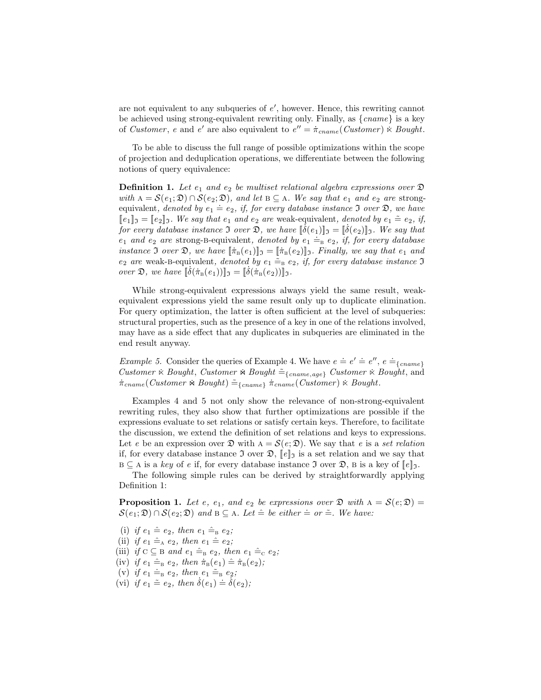are not equivalent to any subqueries of  $e'$ , however. Hence, this rewriting cannot be achieved using strong-equivalent rewriting only. Finally, as  ${{c}name}$  is a key of Customer, e and e' are also equivalent to  $e'' = \pi_{cname}(Customer) \times Bought.$ 

To be able to discuss the full range of possible optimizations within the scope of projection and deduplication operations, we differentiate between the following notions of query equivalence:

**Definition 1.** Let  $e_1$  and  $e_2$  be multiset relational algebra expressions over  $\mathfrak{D}$ with  $A = \mathcal{S}(e_1; \mathfrak{D}) \cap \mathcal{S}(e_2; \mathfrak{D})$ , and let  $B \subseteq A$ . We say that  $e_1$  and  $e_2$  are strongequivalent, denoted by  $e_1 \doteq e_2$ , if, for every database instance  $\Im$  over  $\Im$ , we have  $\llbracket e_1 \rrbracket_2 = \llbracket e_2 \rrbracket_3$ . We say that  $e_1$  and  $e_2$  are weak-equivalent, denoted by  $e_1 \rightharpoonup e_2$ , if, for every database instance  $\Im$  over  $\mathfrak{D}$ , we have  $\lbrack \lbrack \delta(e_1) \rbrack \rbrack$  $\Im = \lbrack \lbrack \delta(e_2) \rbrack \rbrack$  $\Im$ . We say that  $e_1$  and  $e_2$  are strong-B-equivalent, denoted by  $e_1 \doteq_{\mathbf{B}} e_2$ , if, for every database instance  $\Im$  over  $\mathfrak{D}$ , we have  $[\pi_{\rm B}(e_1)]_{\Im} = [\pi_{\rm B}(e_2)]_{\Im}$ . Finally, we say that  $e_1$  and  $e_2$  are weak-B-equivalent, denoted by  $e_1 \stackrel{\sim}{=}$ <sub>B</sub>  $e_2$ , if, for every database instance  $\Im$ over  $\mathfrak{D}$ , we have  $\llbracket \delta(\pi_{\text{B}}(e_1)) \rrbracket_{\mathfrak{I}} = \llbracket \delta(\pi_{\text{B}}(e_2)) \rrbracket_{\mathfrak{I}}.$ 

While strong-equivalent expressions always yield the same result, weakequivalent expressions yield the same result only up to duplicate elimination. For query optimization, the latter is often sufficient at the level of subqueries: structural properties, such as the presence of a key in one of the relations involved, may have as a side effect that any duplicates in subqueries are eliminated in the end result anyway.

*Example 5.* Consider the queries of Example 4. We have  $e \doteq e' \doteq e''$ ,  $e \doteq_{\{cname\}}$ Customer  $\dot{\kappa}$  Bought, Customer  $\dot{\kappa}$  Bought  $\tilde{=}$ <sub>{cname,age}</sub> Customer  $\dot{\kappa}$  Bought, and  $\pi_{cname}(Customer \Join Bought) \tilde{=}_{\{cname\}} \pi_{cname}(Customer) \times Bought.$ 

Examples 4 and 5 not only show the relevance of non-strong-equivalent rewriting rules, they also show that further optimizations are possible if the expressions evaluate to set relations or satisfy certain keys. Therefore, to facilitate the discussion, we extend the definition of set relations and keys to expressions. Let e be an expression over  $\mathfrak{D}$  with  $A = \mathcal{S}(e; \mathfrak{D})$ . We say that e is a set relation if, for every database instance  $\Im$  over  $\mathfrak{D}, \llbracket e \rrbracket_{\Im}$  is a set relation and we say that  $B \subseteq A$  is a key of e if, for every database instance  $\Im$  over  $\mathcal{D}, B$  is a key of  $\llbracket e \rrbracket_{\Im}$ .

The following simple rules can be derived by straightforwardly applying Definition 1:

**Proposition 1.** Let e, e<sub>1</sub>, and e<sub>2</sub> be expressions over  $\mathfrak{D}$  with  $A = \mathcal{S}(e; \mathfrak{D}) =$  $\mathcal{S}(e_1;\mathfrak{D}) \cap \mathcal{S}(e_2;\mathfrak{D})$  and  $B \subseteq A$ . Let  $\hat{=}$  be either  $\dot{=}$  or  $\tilde{=}$ . We have:

- (i) if  $e_1 \triangleq e_2$ , then  $e_1 \triangleq_{\rm B} e_2$ ;
- (ii) if  $e_1 \triangleq_{\text{A}} e_2$ , then  $e_1 \triangleq e_2$ ;
- (iii) if  $C \subseteq B$  and  $e_1 \triangleq_B e_2$ , then  $e_1 \triangleq_C e_2$ ;
- (iv) if  $e_1 \triangleq_{\text{B}} e_2$ , then  $\dot{\pi}_{\text{B}}(e_1) \triangleq \dot{\pi}_{\text{B}}(e_2)$ ;
- (v) if  $e_1 \doteq_{\text{B}} e_2$ , then  $e_1 \doteq_{\text{B}} e_2$ ;
- (vi) if  $e_1 \stackrel{\sim}{=} e_2$ , then  $\delta(e_1) \stackrel{\sim}{=} \delta(e_2)$ ;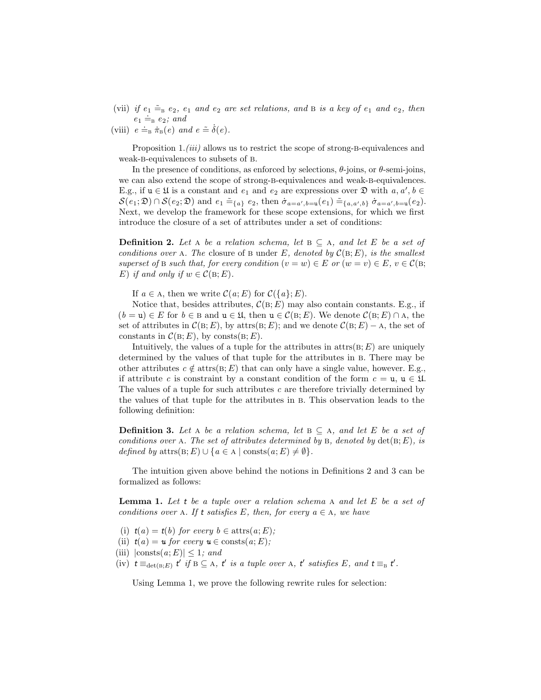- (vii) if  $e_1 \stackrel{\simeq}{\equiv}_{\text{B}} e_2$ ,  $e_1$  and  $e_2$  are set relations, and B is a key of  $e_1$  and  $e_2$ , then  $e_1 \doteq_{\text{B}} e_2$ ; and
- (viii)  $e \doteq_{\text{B}} \dot{\pi}_{\text{B}}(e)$  and  $e \tilde{=} \delta(e)$ .

Proposition 1.*(iii)* allows us to restrict the scope of strong-B-equivalences and weak-b-equivalences to subsets of b.

In the presence of conditions, as enforced by selections,  $\theta$ -joins, or  $\theta$ -semi-joins, we can also extend the scope of strong-b-equivalences and weak-b-equivalences. E.g., if  $u \in \mathfrak{U}$  is a constant and  $e_1$  and  $e_2$  are expressions over  $\mathfrak{D}$  with  $a, a', b \in \mathfrak{D}$  $\mathcal{S}(e_1;\mathfrak{D}) \cap \mathcal{S}(e_2;\mathfrak{D})$  and  $e_1 \stackrel{\simeq}{=} {}_{\{a\}} e_2$ , then  $\dot{\sigma}_{a=a',b=u}(e_1) \stackrel{\simeq}{=} {}_{\{a,a',b\}} \dot{\sigma}_{a=a',b=u}(e_2)$ . Next, we develop the framework for these scope extensions, for which we first introduce the closure of a set of attributes under a set of conditions:

**Definition 2.** Let  $A$  be a relation schema, let  $B \subseteq A$ , and let  $E$  be a set of conditions over A. The closure of B under E, denoted by  $\mathcal{C}(B;E)$ , is the smallest superset of B such that, for every condition  $(v = w) \in E$  or  $(w = v) \in E$ ,  $v \in \mathcal{C}(\mathbb{B})$ ; E) if and only if  $w \in \mathcal{C}(\mathcal{B};E)$ .

If  $a \in A$ , then we write  $\mathcal{C}(a; E)$  for  $\mathcal{C}(\{a\}; E)$ .

Notice that, besides attributes,  $\mathcal{C}(B;E)$  may also contain constants. E.g., if  $(b = u) \in E$  for  $b \in B$  and  $u \in \mathfrak{U}$ , then  $u \in \mathcal{C}(B; E)$ . We denote  $\mathcal{C}(B; E) \cap A$ , the set of attributes in  $\mathcal{C}(B;E)$ , by attrs $(B;E)$ ; and we denote  $\mathcal{C}(B;E) - A$ , the set of constants in  $\mathcal{C}(B;E)$ , by consts $(B;E)$ .

Intuitively, the values of a tuple for the attributes in  $\text{attrs}(B; E)$  are uniquely determined by the values of that tuple for the attributes in b. There may be other attributes  $c \notin \text{attrs}(B; E)$  that can only have a single value, however. E.g., if attribute c is constraint by a constant condition of the form  $c = \mathfrak{u}, \mathfrak{u} \in \mathfrak{U}$ . The values of a tuple for such attributes  $c$  are therefore trivially determined by the values of that tuple for the attributes in b. This observation leads to the following definition:

**Definition 3.** Let A be a relation schema, let  $B \subseteq A$ , and let E be a set of conditions over A. The set of attributes determined by B, denoted by  $\det(B; E)$ , is defined by  $\text{attrs}(B; E) \cup \{a \in A \mid \text{consts}(a; E) \neq \emptyset\}.$ 

The intuition given above behind the notions in Definitions 2 and 3 can be formalized as follows:

**Lemma 1.** Let t be a tuple over a relation schema  $A$  and let  $E$  be a set of conditions over A. If t satisfies E, then, for every  $a \in A$ , we have

- (i)  $t(a) = t(b)$  for every  $b \in \text{attrs}(a;E);$
- (ii)  $t(a) = u$  for every  $u \in \text{consts}(a; E);$
- (iii)  $|{\rm consts}(a; E)| \leq 1$ ; and
- (iv)  $t \equiv_{\det(B;E)} t'$  if  $B \subseteq A$ ,  $t'$  is a tuple over A,  $t'$  satisfies E, and  $t \equiv_B t'$ .

Using Lemma 1, we prove the following rewrite rules for selection: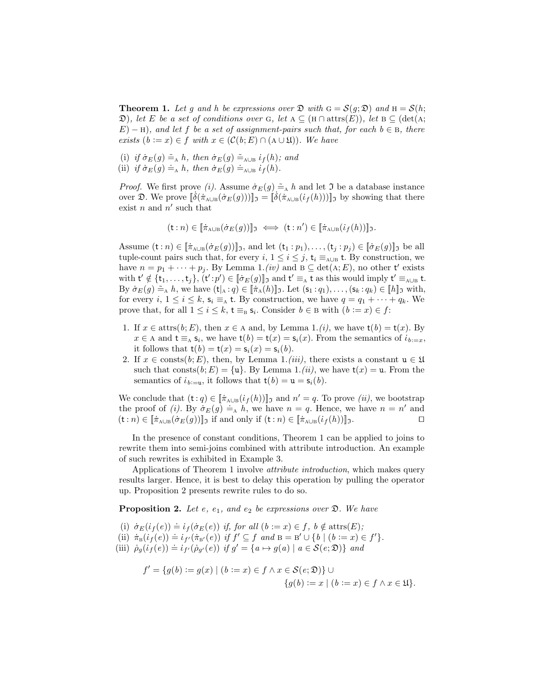**Theorem 1.** Let g and h be expressions over  $\mathfrak{D}$  with  $G = \mathcal{S}(g; \mathfrak{D})$  and  $H = \mathcal{S}(h;$ **D**), let E be a set of conditions over G, let A ⊆ (H ∩ attrs $(E)$ ), let B ⊆ (det(A;  $E$ ) – H), and let f be a set of assignment-pairs such that, for each  $b \in B$ , there exists  $(b := x) ∈ f with x ∈ (C(b; E) ∩ (A ∪ Σ))$ . We have

(i) if  $\dot{\sigma}_E(g) \tilde{=}_{A} h$ , then  $\dot{\sigma}_E(g) \tilde{=}_{A\cup B} i_f(h)$ ; and (ii) if  $\dot{\sigma}_E(g) \doteq_{A} h$ , then  $\dot{\sigma}_E(g) \doteq_{A \cup B} i_f(h)$ .

*Proof.* We first prove (i). Assume  $\dot{\sigma}_E(g) \tilde{=}^A_h h$  and let  $\mathfrak{I}$  be a database instance over **D**. We prove  $[\![\delta(\pi_{A\cup B}(\sigma_E(g)))]\!]_J = [\![\delta(\pi_{A\cup B}(i_f(h)))]\!]_J$  by showing that there exist  $n$  and  $n'$  such that

$$
(\mathsf{t}:n)\in[\![\dot{\pi}_{\mathrm{A}\cup\mathrm{B}}(\dot{\sigma}_E(g))]]\!]_\mathfrak{I}\iff(\mathsf{t}:n')\in[\![\dot{\pi}_{\mathrm{A}\cup\mathrm{B}}(i_f(h))]]\!]_\mathfrak{I}.
$$

Assume  $(t : n) \in [\dot{\pi}_{A \cup B}(\dot{\sigma}_E(g))]_{\mathfrak{I}},$  and let  $(t_1 : p_1), \ldots, (t_i : p_i) \in [\dot{\sigma}_E(g)]_{\mathfrak{I}}$  be all tuple-count pairs such that, for every  $i, 1 \leq i \leq j$ ,  $t_i \equiv_{A \cup B} t$ . By construction, we have  $n = p_1 + \cdots + p_j$ . By Lemma 1.*(iv)* and  $B \subseteq \det(A; E)$ , no other t' exists with  $\mathsf{t}' \notin \{\mathsf{t}_1,\ldots,\mathsf{t}_j\}, \left(\mathsf{t}' : p'\right) \in \llbracket \dot{\sigma}_E(g) \rrbracket_{\mathfrak{I}} \text{ and } \mathsf{t}' \equiv_{\scriptscriptstyle{\mathsf{A}}} \mathsf{t} \text{ as this would imply } \mathsf{t}' \equiv_{\scriptscriptstyle{\mathsf{A} \cup \mathsf{B}}} \mathsf{t}.$ By  $\dot{\sigma}_E(g) \cong_A h$ , we have  $(\mathbf{t}|_A : q) \in [\![\dot{\pi}_A(h)]\!]_J$ . Let  $(\mathsf{s}_1 : q_1), \ldots, (\mathsf{s}_k : q_k) \in [\![h]\!]_J$  with, for every  $i, 1 \le i \le k$ ,  $\mathsf{s}_i \equiv_A \mathsf{t}$ . By construction, we have  $q = q_1 + \cdots + q_k$ . We prove that, for all  $1 \leq i \leq k$ ,  $t \equiv_{\text{B}} s_i$ . Consider  $b \in B$  with  $(b := x) \in f$ :

- 1. If  $x \in \text{attrs}(b; E)$ , then  $x \in A$  and, by Lemma 1.(*i*), we have  $t(b) = t(x)$ . By  $x \in A$  and  $t \equiv_A s_i$ , we have  $t(b) = t(x) = s_i(x)$ . From the semantics of  $i_{b:=x}$ , it follows that  $t(b) = t(x) = s_i(x) = s_i(b)$ .
- 2. If  $x \in \text{const}(b; E)$ , then, by Lemma 1.(*iii*), there exists a constant  $u \in \mathfrak{U}$ such that consts $(b; E) = \{u\}$ . By Lemma 1.(*ii*), we have  $t(x) = u$ . From the semantics of  $i_{b:=u}$ , it follows that  $t(b) = u = s_i(b)$ .

We conclude that  $(t : q) \in [\![\dot{\pi}_{A \cup B}(i_f(h))]_{\mathfrak{I}}\]$  and  $n' = q$ . To prove  $(ii)$ , we bootstrap the proof of (i). By  $\dot{\sigma}_E(g) \doteq_A h$ , we have  $n = q$ . Hence, we have  $n = n'$  and  $(\mathsf{t}:n) \in [\![\dot{\pi}_{A\cup B}(\dot{\sigma}_E(g))]_{\mathfrak{I}}\]$  if and only if  $(\mathsf{t}:n) \in [\![\dot{\pi}_{A\cup B}(i_f(h))]_{\mathfrak{I}}$ .

In the presence of constant conditions, Theorem 1 can be applied to joins to rewrite them into semi-joins combined with attribute introduction. An example of such rewrites is exhibited in Example 3.

Applications of Theorem 1 involve attribute introduction, which makes query results larger. Hence, it is best to delay this operation by pulling the operator up. Proposition 2 presents rewrite rules to do so.

**Proposition 2.** Let e,  $e_1$ , and  $e_2$  be expressions over  $\mathfrak{D}$ . We have

- (i)  $\dot{\sigma}_E(i_f(e)) \doteq i_f(\dot{\sigma}_E(e))$  *if, for all*  $(b := x) \in f$ ,  $b \notin \text{attrs}(E)$ ;
- (ii)  $\pi_{\rm B}(i_f(e)) = i_{f'}(\pi_{\rm B'}(e))$  if  $f' \subseteq f$  and  $\rm B = B' \cup \{b \mid (b := x) \in f'\}.$
- (iii)  $\rho_g(i_f(e)) \doteq i_{f'}(\rho_{g'}(e))$  if  $g' = \{a \mapsto g(a) \mid a \in \mathcal{S}(e; \mathfrak{D})\}$  and

$$
f' = \{g(b) := g(x) \mid (b := x) \in f \land x \in \mathcal{S}(e; \mathfrak{D})\} \cup \{g(b) := x \mid (b := x) \in f \land x \in \mathfrak{U}\}.
$$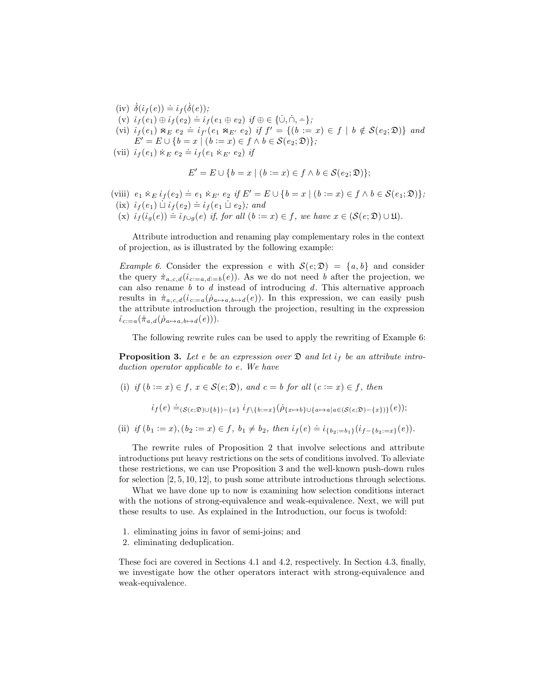- (iv)  $\dot{\delta}(i_f(e)) \doteq i_f(\dot{\delta}(e));$ (v)  $i_f(e_1) \oplus i_f(e_2) = i_f(e_1 \oplus e_2)$  if  $\oplus \in \{\dot{\cup}, \dot{\cap}, \dot{\neg}\};$ (vi)  $i_f(e_1) \Join_E e_2 = i_{f'}(e_1 \Join_{E'} e_2)$  if  $f' = \{(b := x) \in f \mid b \notin \mathcal{S}(e_2;\mathfrak{D})\}$  and  $E' = E \cup \{b = x \mid (b := x) \in f \land b \in \mathcal{S}(e_2; \mathfrak{D})\};$ (vii)  $i_f(e_1) \times_E e_2 = i_f(e_1 \times_{E'} e_2)$  if  $E' = E \cup \{b = x \mid (b := x) \in f \land b \in \mathcal{S}(e_2; \mathfrak{D})\};$
- (viii)  $e_1 \ltimes_E i_f(e_2) \doteq e_1 \ltimes_{E'} e_2 \text{ if } E' = E \cup \{b = x \mid (b := x) \in f \wedge b \in \mathcal{S}(e_1; \mathfrak{D})\};$  $(ix)$   $i_f(e_1) \perp i_f(e_2) = i_f(e_1 \perp e_2);$  and
	- (x)  $i_f(i_g(e)) \doteq i_{f \cup g}(e)$  if, for all  $(b := x) \in f$ , we have  $x \in (\mathcal{S}(e; \mathfrak{D}) \cup \mathfrak{U})$ .

Attribute introduction and renaming play complementary roles in the context of projection, as is illustrated by the following example:

*Example 6.* Consider the expression e with  $S(e; \mathfrak{D}) = \{a, b\}$  and consider the query  $\dot{\pi}_{a,c,d}(i_{c:=a,d:=b}(e))$ . As we do not need b after the projection, we can also rename  $b$  to  $d$  instead of introducing  $d$ . This alternative approach results in  $\dot{\pi}_{a,c,d}(i_{c:=a}(\dot{\rho}_{a\mapsto a,b\mapsto d}(e))$ . In this expression, we can easily push the attribute introduction through the projection, resulting in the expression  $i_{c:=a}(\dot{\pi}_{a,d}(\dot{\rho}_{a\mapsto a,b\mapsto d}(e))).$ 

The following rewrite rules can be used to apply the rewriting of Example 6:

**Proposition 3.** Let e be an expression over  $\mathfrak D$  and let  $i_f$  be an attribute introduction operator applicable to e. We have

(i) if  $(b := x) \in f$ ,  $x \in \mathcal{S}(e;\mathfrak{D})$ , and  $c = b$  for all  $(c := x) \in f$ , then

$$
i_f(e) = (s(e,\mathfrak{D}) \cup \{b\}) - \{x\} \cdot i_f \setminus \{b:=x\} (\dot{\rho}_{\{x \mapsto b\} \cup \{a \mapsto a \mid a \in (\mathcal{S}(e,\mathfrak{D}) - \{x\})\}}(e));
$$

(ii) if  $(b_1 := x)$ ,  $(b_2 := x) \in f$ ,  $b_1 \neq b_2$ , then  $i_f(e) = i_{\{b_2 := b_1\}}(i_{f-\{b_2:=x\}}(e)).$ 

The rewrite rules of Proposition 2 that involve selections and attribute introductions put heavy restrictions on the sets of conditions involved. To alleviate these restrictions, we can use Proposition 3 and the well-known push-down rules for selection [2, 5, 10, 12], to push some attribute introductions through selections.

What we have done up to now is examining how selection conditions interact with the notions of strong-equivalence and weak-equivalence. Next, we will put these results to use. As explained in the Introduction, our focus is twofold:

- 1. eliminating joins in favor of semi-joins; and
- 2. eliminating deduplication.

These foci are covered in Sections 4.1 and 4.2, respectively. In Section 4.3, finally, we investigate how the other operators interact with strong-equivalence and weak-equivalence.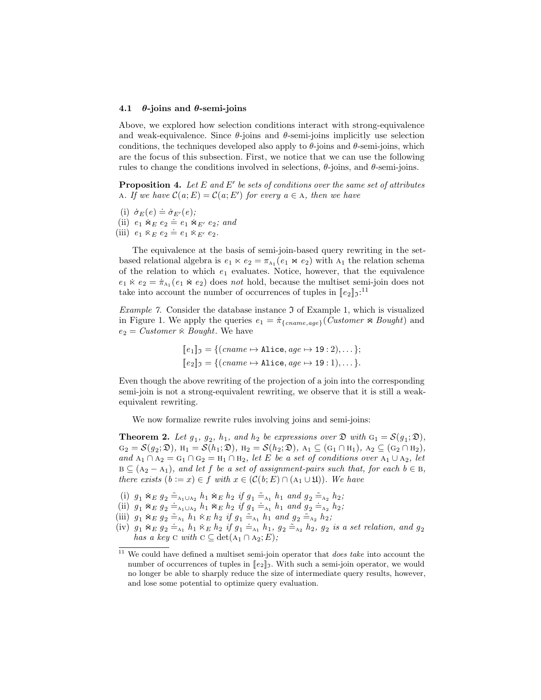#### 4.1  $\theta$ -joins and  $\theta$ -semi-joins

Above, we explored how selection conditions interact with strong-equivalence and weak-equivalence. Since  $\theta$ -joins and  $\theta$ -semi-joins implicitly use selection conditions, the techniques developed also apply to  $\theta$ -joins and  $\theta$ -semi-joins, which are the focus of this subsection. First, we notice that we can use the following rules to change the conditions involved in selections,  $\theta$ -joins, and  $\theta$ -semi-joins.

**Proposition 4.** Let  $E$  and  $E'$  be sets of conditions over the same set of attributes A. If we have  $\mathcal{C}(a;E) = \mathcal{C}(a;E')$  for every  $a \in A$ , then we have

- (i)  $\dot{\sigma}_E(e) \doteq \dot{\sigma}_{E'}(e);$
- (ii)  $e_1 \Join e_2 = e_1 \Join e_2$ ; and
- (iii)  $e_1 \ltimes e_2 \doteq e_1 \ltimes e_2$ .

The equivalence at the basis of semi-join-based query rewriting in the setbased relational algebra is  $e_1 \ltimes e_2 = \pi_{A_1}(e_1 \ltimes e_2)$  with  $A_1$  the relation schema of the relation to which  $e_1$  evaluates. Notice, however, that the equivalence  $e_1 \n\times e_2 = \pi_{A_1}(e_1 \n\times e_2)$  does not hold, because the multiset semi-join does not take into account the number of occurrences of tuples in  $[\![e_2]\!]$ <sub>3</sub>:<sup>11</sup>

Example 7. Consider the database instance I of Example 1, which is visualized in Figure 1. We apply the queries  $e_1 = \pi_{\{change, age\}}(Customer \times Bought)$  and  $e_2 = Customer \times Bought.$  We have

$$
[\![e_1]\!]_{\mathfrak{I}} = \{(\text{name} \mapsto \text{Alice}, \text{age} \mapsto \text{19}:2), \dots\};
$$

$$
[\![e_2]\!]_{\mathfrak{I}} = \{(\text{name} \mapsto \text{Alice}, \text{age} \mapsto \text{19}:1), \dots\}.
$$

Even though the above rewriting of the projection of a join into the corresponding semi-join is not a strong-equivalent rewriting, we observe that it is still a weakequivalent rewriting.

We now formalize rewrite rules involving joins and semi-joins:

**Theorem 2.** Let  $g_1$ ,  $g_2$ ,  $h_1$ , and  $h_2$  be expressions over  $\mathfrak{D}$  with  $G_1 = \mathcal{S}(g_1; \mathfrak{D})$ ,  $G_2 = \mathcal{S}(g_2; \mathfrak{D}), H_1 = \mathcal{S}(h_1; \mathfrak{D}), H_2 = \mathcal{S}(h_2; \mathfrak{D}), A_1 \subseteq (G_1 \cap H_1), A_2 \subseteq (G_2 \cap H_2),$ and  $A_1 \cap A_2 = G_1 \cap G_2 = H_1 \cap H_2$ , let E be a set of conditions over  $A_1 \cup A_2$ , let  $B \subseteq (A_2 - A_1)$ , and let f be a set of assignment-pairs such that, for each  $b \in B$ , there exists  $(b := x) \in f$  with  $x \in (\mathcal{C}(b; E) \cap (A_1 \cup \mathfrak{U}))$ . We have

- (i)  $g_1 \Join_E g_2 \stackrel{\simeq}{=}_{A_1 \cup A_2} h_1 \Join_E h_2 \text{ if } g_1 \stackrel{\simeq}{=}_{A_1} h_1 \text{ and } g_2 \stackrel{\simeq}{=}_{A_2} h_2;$
- (ii)  $g_1 \Join E g_2 = A_1 \cup A_2$   $h_1 \Join E h_2$  if  $g_1 = A_1$   $h_1$  and  $g_2 = A_2 h_2$ ;
- (iii)  $g_1 \Join_E g_2 =_{A_1} h_1 \times_E h_2$  if  $g_1 =_{A_1} h_1$  and  $g_2 =_{A_2} h_2$ ;
- (iv)  $g_1 \Join_E g_2 =_{A_1} h_1 \Join_E h_2$  if  $g_1 =_{A_1} h_1$ ,  $g_2 =_{A_2} h_2$ ,  $g_2$  is a set relation, and  $g_2$ has a key C with  $C \subseteq det(A_1 \cap A_2; E);$

 $11$  We could have defined a multiset semi-join operator that *does take* into account the number of occurrences of tuples in  $\llbracket e_2 \rrbracket_3$ . With such a semi-join operator, we would no longer be able to sharply reduce the size of intermediate query results, however, and lose some potential to optimize query evaluation.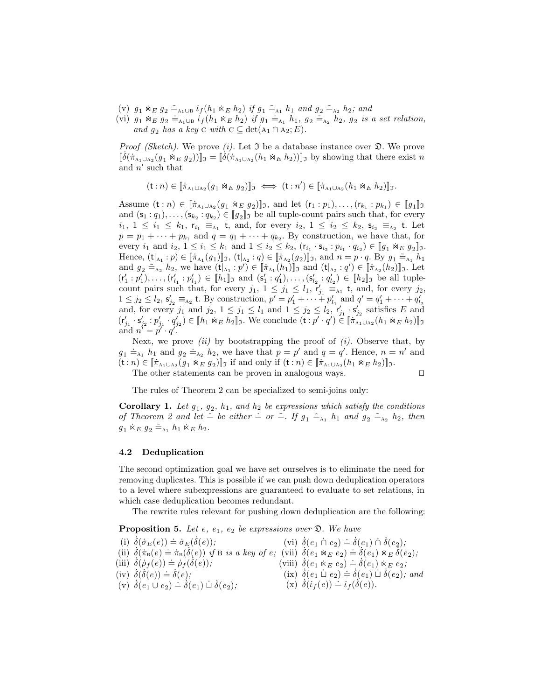- (v)  $g_1 \Join_E g_2 \stackrel{\simeq}{=}_{A_1 \cup B} i_f(h_1 \Join_E h_2)$  if  $g_1 \stackrel{\simeq}{=}_{A_1} h_1$  and  $g_2 \stackrel{\simeq}{=}_{A_2} h_2$ ; and
- (vi)  $g_1 \Join_E g_2 =_{A_1 \cup B} i_f(h_1 \Join_E h_2)$  if  $g_1 =_{A_1} h_1$ ,  $g_2 =_{A_2} h_2$ ,  $g_2$  is a set relation, and  $g_2$  has a key C with  $C \subseteq \det(A_1 \cap A_2; E)$ .

*Proof (Sketch)*. We prove *(i)*. Let  $\Im$  be a database instance over  $\Im$ . We prove  $\[\![\dot{\delta}(\pi_{A_1\cup A_2}(g_1\mathbin{\dot{\wedge}}_E g_2))]_{\mathfrak{I}} = \[\![\dot{\delta}(\pi_{A_1\cup A_2}(h_1\mathbin{\dot{\wedge}}_E h_2))]_{\mathfrak{I}}\]$  by showing that there exist n and  $n'$  such that

$$
(\mathsf{t} : n) \in \llbracket \dot\pi_{\scriptscriptstyle \operatorname{A}_1 \cup \scriptscriptstyle \operatorname{A}_2} (g_1 \mathbin{\dot{\ltimes}}_E g_2) \rrbracket_{\mathfrak{I}} \iff (\mathsf{t} : n') \in \llbracket \dot\pi_{\scriptscriptstyle \operatorname{A}_1 \cup \scriptscriptstyle \operatorname{A}_2} (h_1 \mathbin{\dot{\ltimes}}_E h_2) \rrbracket_{\mathfrak{I}}.
$$

Assume  $(t : n) \in [\![\dot{\pi}_{A_1 \cup A_2}(g_1 \land_E g_2)]\!]_3$ , and let  $(r_1 : p_1), \ldots, (r_{k_1} : p_{k_1}) \in [\![g_1]\!]_3$ and  $(s_1:q_1), \ldots, (s_{k_2}:q_{k_2}) \in [q_2]$  be all tuple-count pairs such that, for every  $i_1, 1 \leq i_1 \leq k_1, r_{i_1} \equiv_{A_1} t$ , and, for every  $i_2, 1 \leq i_2 \leq k_2, s_{i_2} \equiv_{A_2} t$ . Let  $p = p_1 + \cdots + p_{k_1}$  and  $q = q_1 + \cdots + q_{k_2}$ . By construction, we have that, for every  $i_1$  and  $i_2, 1 \le i_1 \le k_1$  and  $1 \le i_2 \le k_2$ ,  $(r_{i_1} \cdot s_{i_2} : p_{i_1} \cdot q_{i_2}) \in [g_1 \Join_E g_2]$ . Hence,  $(\mathsf{t}|_{A_1} : p) \in [\![\dot{\pi}_{A_1}(g_1)]\!]_3$ ,  $(\mathsf{t}|_{A_2} : q) \in [\![\dot{\pi}_{A_2}(g_2)]\!]_3$ , and  $n = p \cdot q$ . By  $g_1 \tilde{=}_{A_1} h_1$ and  $g_2 \tilde{=}_{A_2} h_2$ , we have  $(t|_{A_1} : p') \in [\![\dot{\pi}_{A_1}(h_1)]\!]_2$  and  $(t|_{A_2} : q') \in [\![\dot{\pi}_{A_2}(h_2)]\!]_2$ . Let  $(r'_1 : p'_1), \ldots, (r'_{l_1} : p'_{l_1}) \in [h_1]_{\mathfrak{I}}$  and  $(s'_1 : q'_1), \ldots, (s'_{l_2} : q'_{l_2}) \in [h_2]_{\mathfrak{I}}$  be all tuplecount pairs such that, for every  $j_1, 1 \leq j_1 \leq l_1, r'_{j_1} \equiv_{A_1} \mathfrak{t}$ , and, for every  $j_2$ ,  $1 \leq j_2 \leq l_2$ ,  $\mathsf{s}'_{j_2} \equiv_{\mathsf{A}_2} \mathsf{t}$ . By construction,  $p' = p'_1 + \cdots + p'_{l_1}$  and  $q' = q'_1 + \cdots + q'_{l_2}$ <br>and, for every  $j_1$  and  $j_2$ ,  $1 \leq j_1 \leq l_1$  and  $1 \leq j_2 \leq l_2$ ,  $\mathsf{r}'_{j_1} \cdot \mathsf{s}'_{j_2}$  satisfies  $E$  a  $(r'_{j_1} \cdot s'_{j_2} : p'_{j_1} \cdot q'_{j_2}) \in [\![h_1 \times h_2]\!]$ . We conclude  $(\mathbf{t} : p' \cdot q') \in [\![\pi_{A_1 \cup A_2}(h_1 \times h_2)]\!]$ and  $n' = p' \cdot q'$ .

Next, we prove *(ii)* by bootstrapping the proof of *(i)*. Observe that, by  $g_1 \doteq_{A_1} h_1$  and  $g_2 \doteq_{A_2} h_2$ , we have that  $p = p'$  and  $q = q'$ . Hence,  $n = n'$  and  $($ t: $n$ )  $\in$   $[\pi_{A_1\cup A_2}(g_1\Join_B g_2)]$ <sub>J</sub> if and only if  $(t:n) \in [\pi_{A_1\cup A_2}(h_1\Join_B h_2)]$ <sub>J</sub>. The other statements can be proven in analogous ways.  $\square$ 

The rules of Theorem 2 can be specialized to semi-joins only:

**Corollary 1.** Let  $g_1$ ,  $g_2$ ,  $h_1$ , and  $h_2$  be expressions which satisfy the conditions of Theorem 2 and let  $\hat{=}$  be either  $\dot{=}$  or  $\tilde{=}$ . If  $g_1 \hat{=}_{A_1} h_1$  and  $g_2 \tilde{=}_{A_2} h_2$ , then  $g_1 \times_E g_2 \triangleq_{A_1} h_1 \times_E h_2.$ 

#### 4.2 Deduplication

The second optimization goal we have set ourselves is to eliminate the need for removing duplicates. This is possible if we can push down deduplication operators to a level where subexpressions are guaranteed to evaluate to set relations, in which case deduplication becomes redundant.

The rewrite rules relevant for pushing down deduplication are the following:

**Proposition 5.** Let  $e$ ,  $e_1$ ,  $e_2$  be expressions over  $\mathfrak{D}$ . We have

(i)  $\dot{\delta}(\dot{\sigma}_E(e)) \doteq \dot{\sigma}_E(\dot{\delta}(e));$ (ii)  $\dot{\delta}(\pi_B(e) = \pi_B(\dot{\delta}(e))$  if B is a key of e; (vii)  $\dot{\delta}(e_1 \Join_E e_2) = \dot{\delta}(e_1) \Join_E \dot{\delta}(e_2)$ ; (iii)  $\dot{\delta}(\rho_f(e)) = \rho_f(\dot{\delta}(e)),$ (iv)  $\dot{\delta}(\dot{\delta}(e)) = \dot{\delta}(e)$ ;  $\delta(e_1 \cup e_2) = \delta(e_1) \cup \delta(e_2);$ (vi)  $\dot{\delta}(e_1 \cap e_2) = \dot{\delta}(e_1) \cap \dot{\delta}(e_2);$ (viii)  $\dot{\delta}(e_1 \kappa_E e_2) = \dot{\delta}(e_1) \kappa_E e_2;$  $(ix)$   $\dot{\delta}(e_1 \cup e_2) = \dot{\delta}(e_1) \cup \dot{\delta}(e_2)$ ; and  $\dot{\delta}(i_f(e)) \stackrel{\cdot}{=} i_f(\dot{\delta}(e)).$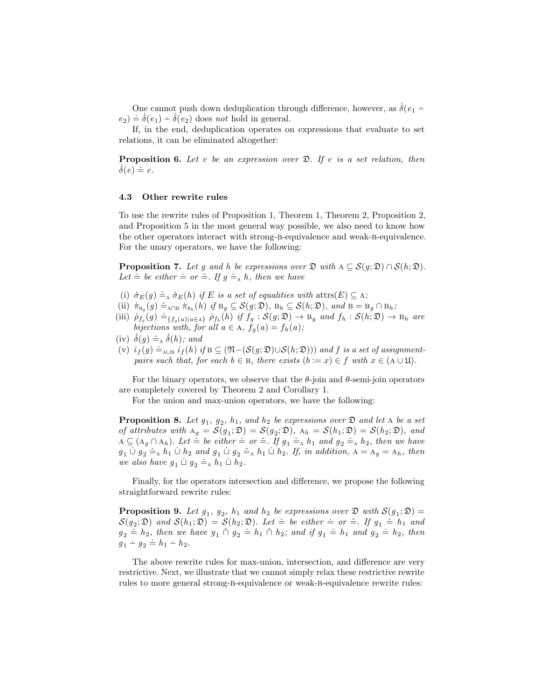One cannot push down deduplication through difference, however, as  $\dot{\delta}(e_1 (e_2) \doteq \delta(e_1) - \delta(e_2)$  does not hold in general.

If, in the end, deduplication operates on expressions that evaluate to set relations, it can be eliminated altogether:

**Proposition 6.** Let e be an expression over  $\mathfrak{D}$ . If e is a set relation, then  $\delta(e) \doteq e$ .

#### 4.3 Other rewrite rules

To use the rewrite rules of Proposition 1, Theorem 1, Theorem 2, Proposition 2, and Proposition 5 in the most general way possible, we also need to know how the other operators interact with strong-b-equivalence and weak-b-equivalence. For the unary operators, we have the following:

**Proposition 7.** Let g and h be expressions over  $\mathfrak{D}$  with  $A \subseteq \mathcal{S}(g; \mathfrak{D}) \cap \mathcal{S}(h; \mathfrak{D})$ . Let  $\triangleq$  be either  $\dot{=}$  or  $\tilde{=}$ . If  $q \triangleq_h h$ , then we have

- (i)  $\dot{\sigma}_E(g) \triangleq_A \dot{\sigma}_E(h)$  if E is a set of equalities with  $\text{attrs}(E) \subseteq A$ ;
- (ii)  $\pi_{B_g}(g) \triangleq_{A \cap B} \pi_{B_h}(h)$  if  $B_g \subseteq \mathcal{S}(g; \mathfrak{D})$ ,  $B_h \subseteq \mathcal{S}(h; \mathfrak{D})$ , and  $B = B_g \cap B_h$ ;
- (iii)  $\rho_{f_g}(g) \triangleq_{\{f_g(a) | a \in A\}} \rho_{f_h}(h)$  if  $f_g : \mathcal{S}(g; \mathfrak{D}) \to \mathfrak{B}_g$  and  $f_h : \mathcal{S}(h; \mathfrak{D}) \to \mathfrak{B}_h$  are bijections with, for all  $a \in A$ ,  $f_g(a) = f_h(a)$ ;
- (iv)  $\dot{\delta}(g) \hat{=}_{A} \dot{\delta}(h)$ ; and
- (v)  $i_f(g) \triangleq_{A\cup B} i_f(h)$  if  $B \subseteq (\mathfrak{N}-(\mathcal{S}(g;\mathfrak{D})\cup \mathcal{S}(h;\mathfrak{D})))$  and f is a set of assignmentpairs such that, for each  $b \in B$ , there exists  $(b := x) \in f$  with  $x \in (A \cup \mathfrak{U})$ .

For the binary operators, we observe that the  $\theta$ -join and  $\theta$ -semi-join operators are completely covered by Theorem 2 and Corollary 1.

For the union and max-union operators, we have the following:

**Proposition 8.** Let  $g_1$ ,  $g_2$ ,  $h_1$ , and  $h_2$  be expressions over  $\mathfrak{D}$  and let A be a set of attributes with  $A_g = \mathcal{S}(g_1; \mathfrak{D}) = \mathcal{S}(g_2; \mathfrak{D})$ ,  $A_h = \mathcal{S}(h_1; \mathfrak{D}) = \mathcal{S}(h_2; \mathfrak{D})$ , and  $A \subseteq (A_g \cap A_h)$ . Let  $\stackrel{\sim}{=}$  be either  $\stackrel{\sim}{=}$  or  $\stackrel{\sim}{=}$ . If  $g_1 \stackrel{\sim}{=}$  h<sub>1</sub> and  $g_2 \stackrel{\sim}{=}$  h<sub>2</sub>, then we have  $g_1 \cup g_2 \hat{=}_A h_1 \cup h_2$  and  $g_1 \cup g_2 \tilde{=}_A h_1 \cup h_2$ . If, in addition,  $A = A_g = A_h$ , then we also have  $g_1 \rvert g_2 \rvert g_1 \rvert h_1 \rvert h_2$ .

Finally, for the operators intersection and difference, we propose the following straightforward rewrite rules:

**Proposition 9.** Let  $g_1$ ,  $g_2$ ,  $h_1$  and  $h_2$  be expressions over  $\mathfrak{D}$  with  $\mathcal{S}(g_1; \mathfrak{D}) =$  $S(g_2;\mathfrak{D})$  and  $S(h_1;\mathfrak{D})=S(h_2;\mathfrak{D})$ . Let  $\hat{=}$  be either  $\dot{=}$  or  $\tilde{=}$ . If  $g_1 \hat{=} h_1$  and  $g_2 \triangleq h_2$ , then we have  $g_1 \cap g_2 \triangleq h_1 \cap h_2$ ; and if  $g_1 \triangleq h_1$  and  $g_2 \triangleq h_2$ , then  $g_1 \div g_2 \doteq h_1 \div h_2.$ 

The above rewrite rules for max-union, intersection, and difference are very restrictive. Next, we illustrate that we cannot simply relax these restrictive rewrite rules to more general strong-b-equivalence or weak-b-equivalence rewrite rules: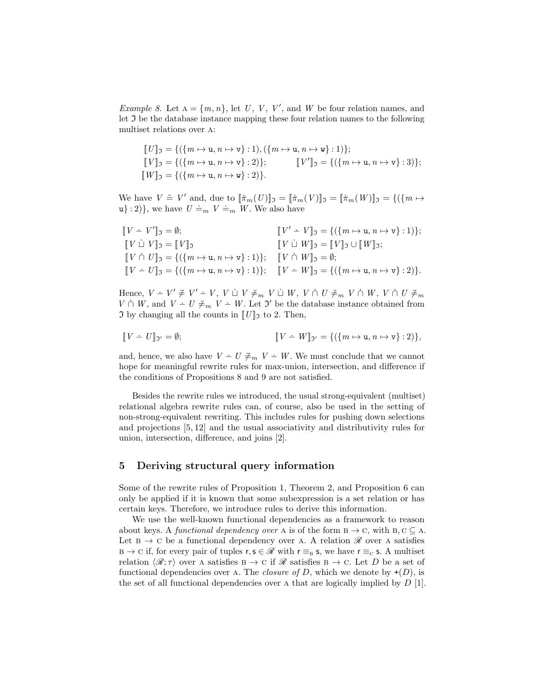*Example 8.* Let  $A = \{m, n\}$ , let U, V, V', and W be four relation names, and let  $\mathfrak I$  be the database instance mapping these four relation names to the following multiset relations over a:

$$
[U]_{\mathfrak{I}} = \{ (\{ m \mapsto \mathbf{u}, n \mapsto \mathbf{v} \} : 1), (\{ m \mapsto \mathbf{u}, n \mapsto \mathbf{w} \} : 1) \};
$$
  

$$
[V]_{\mathfrak{I}} = \{ (\{ m \mapsto \mathbf{u}, n \mapsto \mathbf{v} \} : 2) \};
$$
  

$$
[V']_{\mathfrak{I}} = \{ (\{ m \mapsto \mathbf{u}, n \mapsto \mathbf{w} \} : 2) \}.
$$
  

$$
[V']_{\mathfrak{I}} = \{ (\{ m \mapsto \mathbf{u}, n \mapsto \mathbf{w} \} : 2) \}.
$$

We have  $V \cong V'$  and, due to  $[\pi_m(U)]_{\mathfrak{I}} = [\pi_m(V)]_{\mathfrak{I}} = [\pi_m(W)]_{\mathfrak{I}} = \{(\{m \mapsto$  $u$ } : 2)}, we have  $U \doteq_m V \doteq_m W$ . We also have

$$
\label{eq:2.1} \begin{aligned} &\textcolor{red}{\|V \doteq V'\|_{\mathfrak{I}}} = \emptyset; &\textcolor{red}{\|V' \doteq V\|_{\mathfrak{I}}} = \{(\{m \mapsto \mathbf{u}, n \mapsto \mathbf{v}\} : 1)\};\\ &\textcolor{red}{\|V \mathrel{\dot{\sqcup}} V\|_{\mathfrak{I}}} = \textcolor{red}{\|V\|_{\mathfrak{I}}} &\textcolor{red}{\|V \mathrel{\dot{\sqcup}} W\|_{\mathfrak{I}}} = \textcolor{red}{\|V\|_{\mathfrak{I}}} \cup \textcolor{red}{\|W\|_{\mathfrak{I}}};\\ &\textcolor{red}{\|V \mathrel{\dot{\cap}} U\|_{\mathfrak{I}}} = \{(\{m \mapsto \mathbf{u}, n \mapsto \mathbf{v}\} : 1)\}; &\textcolor{red}{\|V \mathrel{\dot{\cap}} W\|_{\mathfrak{I}}} = \emptyset;\\ &\textcolor{red}{\|V \doteq U\|_{\mathfrak{I}}} = \{(\{m \mapsto \mathbf{u}, n \mapsto \mathbf{v}\} : 1)\}; &\textcolor{red}{\|V \mathrel{\dot{\cap}} W\|_{\mathfrak{I}}} = \emptyset;\\ &\textcolor{red}{\|V \doteq U\|_{\mathfrak{I}}} = \{(\{m \mapsto \mathbf{u}, n \mapsto \mathbf{v}\} : 1)\}; &\textcolor{red}{\|V \doteq W\|_{\mathfrak{I}}} = \{(\{m \mapsto \mathbf{u}, n \mapsto \mathbf{v}\} : 2)\}. \end{aligned}
$$

Hence,  $V - V' \not\equiv V' - V$ ,  $V \perp V \not\equiv_m V \perp W$ ,  $V \cap U \not\equiv_m V \cap W$ ,  $V \cap U \not\equiv_m$  $V \cap W$ , and  $V - U \neq_m V - W$ . Let  $\mathfrak{I}'$  be the database instance obtained from  $\Im$  by changing all the counts in  $\llbracket U \rrbracket_{\Im}$  to 2. Then,

$$
\llbracket V \div U \rrbracket_{\mathfrak{I}'} = \emptyset; \qquad \qquad \llbracket V \div W \rrbracket_{\mathfrak{I}'} = \{ (\{ m \mapsto \mathbf{u}, n \mapsto \mathbf{v} \} : 2) \},
$$

and, hence, we also have  $V - U \neq_m V - W$ . We must conclude that we cannot hope for meaningful rewrite rules for max-union, intersection, and difference if the conditions of Propositions 8 and 9 are not satisfied.

Besides the rewrite rules we introduced, the usual strong-equivalent (multiset) relational algebra rewrite rules can, of course, also be used in the setting of non-strong-equivalent rewriting. This includes rules for pushing down selections and projections [5, 12] and the usual associativity and distributivity rules for union, intersection, difference, and joins [2].

## 5 Deriving structural query information

Some of the rewrite rules of Proposition 1, Theorem 2, and Proposition 6 can only be applied if it is known that some subexpression is a set relation or has certain keys. Therefore, we introduce rules to derive this information.

We use the well-known functional dependencies as a framework to reason about keys. A *functional dependency over* A is of the form  $B \to C$ , with  $B, C \subseteq A$ . Let  $B \to C$  be a functional dependency over A. A relation  $\mathscr R$  over A satisfies  $B \to C$  if, for every pair of tuples  $r, s \in \mathcal{R}$  with  $r \equiv_B s$ , we have  $r \equiv_C s$ . A multiset relation  $\langle \mathcal{R}; \tau \rangle$  over A satisfies  $B \to C$  if  $\mathcal{R}$  satisfies  $B \to C$ . Let D be a set of functional dependencies over A. The *closure of D*, which we denote by  $+(D)$ , is the set of all functional dependencies over a that are logically implied by  $D \nI$ .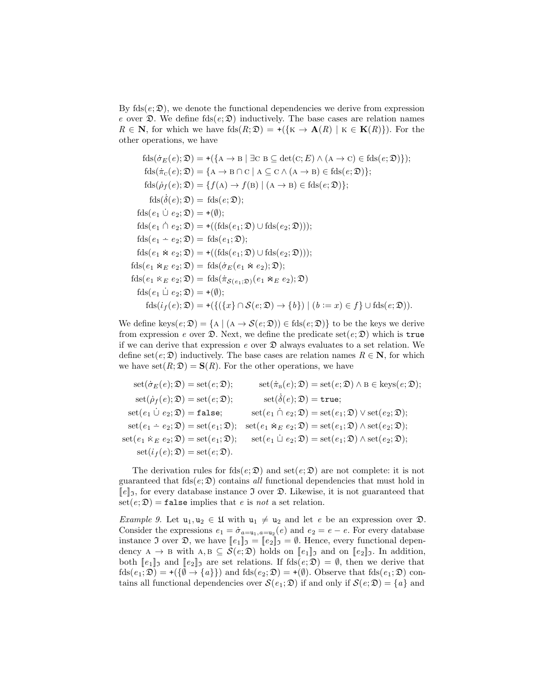By  $\text{fds}(e; \mathcal{D})$ , we denote the functional dependencies we derive from expression e over  $\mathfrak{D}$ . We define fds $(e; \mathfrak{D})$  inductively. The base cases are relation names  $R \in \mathbb{N}$ , for which we have  $f ds(R; \mathfrak{D}) = \mathcal{H}(\{K \to \mathbf{A}(R) \mid K \in \mathbf{K}(R)\})$ . For the other operations, we have

$$
fds(\dot{\sigma}_E(e); \mathfrak{D}) = +( \{ A \rightarrow B \mid \exists C \ B \subseteq det(C; E) \land (A \rightarrow C) \in fds(e; \mathfrak{D}) \};
$$
  
\n
$$
fds(\dot{\pi}_C(e); \mathfrak{D}) = \{ A \rightarrow B \cap C \mid A \subseteq C \land (A \rightarrow B) \in fds(e; \mathfrak{D}) \};
$$
  
\n
$$
fds(\dot{\rho}_f(e); \mathfrak{D}) = \{ f(A) \rightarrow f(B) \mid (A \rightarrow B) \in fds(e; \mathfrak{D}) \};
$$
  
\n
$$
fds(\dot{\delta}(e); \mathfrak{D}) = fds(e; \mathfrak{D});
$$
  
\n
$$
fds(e_1 \cup e_2; \mathfrak{D}) = +(0);
$$
  
\n
$$
fds(e_1 \cap e_2; \mathfrak{D}) = +( (fds(e_1; \mathfrak{D}) \cup fds(e_2; \mathfrak{D}))) ;
$$
  
\n
$$
fds(e_1 \rightarrow e_2; \mathfrak{D}) = fds(e_1; \mathfrak{D}) \cup fds(e_2; \mathfrak{D}))) ;
$$
  
\n
$$
fds(e_1 \Join e_2; \mathfrak{D}) = +( (fds(e_1; \mathfrak{D}) \cup fds(e_2; \mathfrak{D}))) ;
$$
  
\n
$$
fds(e_1 \Join e_2; \mathfrak{D}) = fds(\dot{\sigma}_E(e_1 \Join e_2); \mathfrak{D}) ;
$$
  
\n
$$
fds(e_1 \cup e_2; \mathfrak{D}) = fds(\dot{\pi}_S(e_1; \mathfrak{D})(e_1 \Join E e_2); \mathfrak{D})
$$
  
\n
$$
fds(e_1 \cup e_2; \mathfrak{D}) = +(0) ;
$$
  
\n
$$
fds(i_f(e); \mathfrak{D}) = +(\{(x \} \cap S(e; \mathfrak{D}) \rightarrow \{b\}) \mid (b := x) \in f \} \cup fds(e; \mathfrak{D}) ).
$$

We define keys $(e; \mathfrak{D}) = \{A \mid (A \rightarrow \mathcal{S}(e; \mathfrak{D})) \in \text{fds}(e; \mathfrak{D})\}$  to be the keys we derive from expression e over  $\mathfrak{D}$ . Next, we define the predicate set $(e; \mathfrak{D})$  which is true if we can derive that expression  $e$  over  $\mathfrak D$  always evaluates to a set relation. We define set( $e; \mathfrak{D}$ ) inductively. The base cases are relation names  $R \in \mathbb{N}$ , for which we have  $set(R; \mathfrak{D}) = \mathbf{S}(R)$ . For the other operations, we have

$$
\begin{aligned}\n\text{set}(\dot{\sigma}_E(e); \mathfrak{D}) &= \text{set}(e; \mathfrak{D}); & \text{set}(\dot{\pi}_B(e); \mathfrak{D}) &= \text{set}(e; \mathfrak{D}) \land B \in \text{keys}(e; \mathfrak{D}); \\
\text{set}(\dot{\rho}_f(e); \mathfrak{D}) &= \text{set}(e; \mathfrak{D}); & \text{set}(\dot{\delta}(e); \mathfrak{D}) &= \text{true}; \\
\text{set}(e_1 \cup e_2; \mathfrak{D}) &= \text{false}; & \text{set}(e_1 \cap e_2; \mathfrak{D}) &= \text{set}(e_1; \mathfrak{D}) \lor \text{set}(e_2; \mathfrak{D}); \\
\text{set}(e_1 \div e_2; \mathfrak{D}) &= \text{set}(e_1; \mathfrak{D}); & \text{set}(e_1 \land e_2; \mathfrak{D}) &= \text{set}(e_1; \mathfrak{D}) \land \text{set}(e_2; \mathfrak{D}); \\
\text{set}(e_1 \land e_2; \mathfrak{D}) &= \text{set}(e_1; \mathfrak{D}); & \text{set}(e_1 \cup e_2; \mathfrak{D}) &= \text{set}(e_1; \mathfrak{D}) \land \text{set}(e_2; \mathfrak{D}); \\
\text{set}(i_f(e); \mathfrak{D}) &= \text{set}(e; \mathfrak{D}).\n\end{aligned}
$$

The derivation rules for  $fds(e; \mathcal{D})$  and  $set(e; \mathcal{D})$  are not complete: it is not guaranteed that  $f ds(e; \mathcal{D})$  contains all functional dependencies that must hold in  $\llbracket e \rrbracket_2$ , for every database instance J over  $\mathfrak{D}$ . Likewise, it is not guaranteed that  $set(e; \mathfrak{D}) = \mathtt{false}$  implies that e is not a set relation.

Example 9. Let  $u_1, u_2 \in \mathfrak{U}$  with  $u_1 \neq u_2$  and let e be an expression over  $\mathfrak{D}$ . Consider the expressions  $e_1 = \dot{\sigma}_{a=u_1, a=u_2}(e)$  and  $e_2 = e - e$ . For every database instance  $\Im$  over  $\mathfrak{D}$ , we have  $[\![e_1]\!]_{\Im} = [\![e_2]\!]_{\Im} = \emptyset$ . Hence, every functional dependency A  $\rightarrow$  B with A, B  $\subseteq$   $\mathcal{S}(e;\mathfrak{D})$  holds on  $[\![e_1]\!]$ <sup>3</sup> and on  $[\![e_2]\!]$ <sup>3</sup>. In addition, both  $[e_1]_1$  and  $[e_2]_1$  are set relations. If  $f ds(e; \mathfrak{D}) = \emptyset$ , then we derive that  $fds(e_1; \mathfrak{D}) = \mathcal{H}(\{\emptyset \to \{a\}\})$  and  $fds(e_2; \mathfrak{D}) = \mathcal{H}(\emptyset)$ . Observe that  $fds(e_1; \mathfrak{D})$  contains all functional dependencies over  $\mathcal{S}(e_1;\mathfrak{D})$  if and only if  $\mathcal{S}(e;\mathfrak{D}) = \{a\}$  and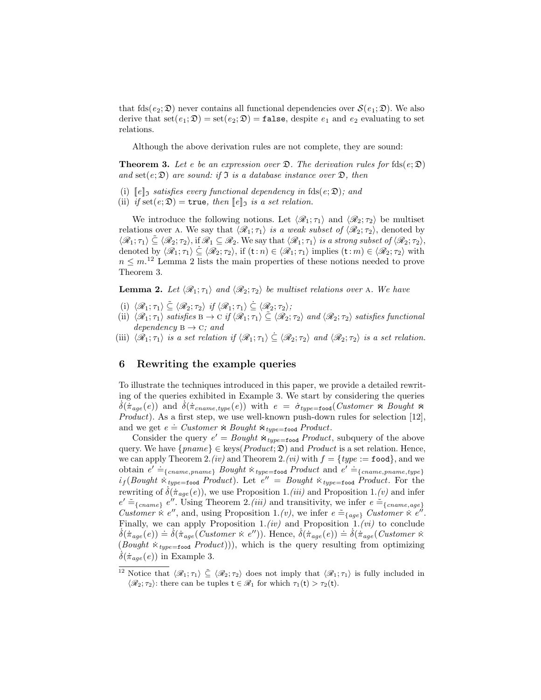that fds( $e_2$ ;  $\mathfrak{D}$ ) never contains all functional dependencies over  $\mathcal{S}(e_1;\mathfrak{D})$ . We also derive that  $set(e_1; \mathcal{D}) = set(e_2; \mathcal{D}) = false$ , despite  $e_1$  and  $e_2$  evaluating to set relations.

Although the above derivation rules are not complete, they are sound:

**Theorem 3.** Let e be an expression over  $\mathfrak{D}$ . The derivation rules for fds(e;  $\mathfrak{D}$ ) and set $(e; \mathfrak{D})$  are sound: if  $\mathfrak{I}$  is a database instance over  $\mathfrak{D}$ , then

- (i)  $\llbracket e \rrbracket_2$  satisfies every functional dependency in fds(e;  $\mathfrak{D}$ ); and
- (ii) if set( $e; \mathfrak{D}$ ) = true, then  $\llbracket e \rrbracket_{\mathfrak{I}}$  is a set relation.

We introduce the following notions. Let  $\langle \mathcal{R}_1; \tau_1 \rangle$  and  $\langle \mathcal{R}_2; \tau_2 \rangle$  be multiset relations over A. We say that  $\langle \mathcal{R}_1; \tau_1 \rangle$  is a weak subset of  $\langle \mathcal{R}_2; \tau_2 \rangle$ , denoted by  $\langle \mathscr{R}_1; \tau_1 \rangle \subseteq \langle \mathscr{R}_2; \tau_2 \rangle$ , if  $\mathscr{R}_1 \subseteq \mathscr{R}_2$ . We say that  $\langle \mathscr{R}_1; \tau_1 \rangle$  is a strong subset of  $\langle \mathscr{R}_2; \tau_2 \rangle$ , denoted by  $\langle \mathcal{R}_1; \tau_1 \rangle \subseteq \langle \mathcal{R}_2; \tau_2 \rangle$ , if  $(\mathbf{t}: n) \in \langle \mathcal{R}_1; \tau_1 \rangle$  implies  $(\mathbf{t}: m) \in \langle \mathcal{R}_2; \tau_2 \rangle$  with  $n \leq m^{12}$  Lemma 2 lists the main properties of these notions needed to prove Theorem 3.

**Lemma 2.** Let  $\langle \mathcal{R}_1; \tau_1 \rangle$  and  $\langle \mathcal{R}_2; \tau_2 \rangle$  be multiset relations over A. We have

- (i)  $\langle \mathcal{R}_1; \tau_1 \rangle \subseteq \langle \mathcal{R}_2; \tau_2 \rangle$  if  $\langle \mathcal{R}_1; \tau_1 \rangle \subseteq \langle \mathcal{R}_2; \tau_2 \rangle;$
- (ii)  $\langle \mathcal{R}_1; \tau_1 \rangle$  satisfies  $B \to C$  if  $\langle \mathcal{R}_1; \tau_1 \rangle \subseteq \langle \mathcal{R}_2; \tau_2 \rangle$  and  $\langle \mathcal{R}_2; \tau_2 \rangle$  satisfies functional dependency  $B \to C$ ; and
- (iii)  $\langle \mathcal{R}_1; \tau_1 \rangle$  is a set relation if  $\langle \mathcal{R}_1; \tau_1 \rangle \subseteq \langle \mathcal{R}_2; \tau_2 \rangle$  and  $\langle \mathcal{R}_2; \tau_2 \rangle$  is a set relation.

## 6 Rewriting the example queries

To illustrate the techniques introduced in this paper, we provide a detailed rewriting of the queries exhibited in Example 3. We start by considering the queries  $\delta(\dot{\pi}_{age}(e))$  and  $\delta(\dot{\pi}_{cname,type}(e))$  with  $e = \dot{\sigma}_{type=food}(Customer \Join Bought \Join bath)$ Product). As a first step, we use well-known push-down rules for selection [12], and we get  $e = Customer \times Bought \times type = food Product$ .

Consider the query  $e' = Bought \Join_{type = food} Product$ , subquery of the above query. We have  ${pname} \in keys(Product; \mathfrak{D})$  and  $Product$  is a set relation. Hence, we can apply Theorem 2.*(iv)* and Theorem 2.*(vi)* with  $f = \{type := \text{food}\}\text{, and we}$ obtain  $e' =_{\{change,name\}} Bought \times_{type=\textbf{food}} Product$  and  $e' =_{\{change,name,name,type\}}$  $i_f(Bought \kappa_{type=food} \text{Product})$ . Let  $e'' = Bought \kappa_{type=food} \text{Product}$ . For the rewriting of  $\delta(\pi_{age}(e))$ , we use Proposition 1.*(iii)* and Proposition 1.*(v)* and infer  $e' \tilde{=}_{\{\text{cname},\text{age}\}} e''$ . Using Theorem 2.(*iii*) and transitivity, we infer  $e \tilde{=}_{\{\text{cname},\text{age}\}}$ Customer  $\dot{\kappa} e''$ , and, using Proposition 1.(v), we infer  $e =_{\{age\}} Customer \dot{\kappa} e''$ . Finally, we can apply Proposition 1.*(iv)* and Proposition 1.*(vi)* to conclude  $\dot{\delta}(\dot{\pi}_{age}(e)) = \dot{\delta}(\dot{\pi}_{age}(Customer \times e'')).$  Hence,  $\dot{\delta}(\dot{\pi}_{age}(e)) = \dot{\delta}(\dot{\pi}_{age}(Customer \times e''))$  $(Bought \times type = food Product$ )), which is the query resulting from optimizing  $\delta(\dot{\pi}_{age}(e))$  in Example 3.

<sup>&</sup>lt;sup>12</sup> Notice that  $\langle \mathcal{R}_1; \tau_1 \rangle \subseteq \langle \mathcal{R}_2; \tau_2 \rangle$  does not imply that  $\langle \mathcal{R}_1; \tau_1 \rangle$  is fully included in  $\langle \mathcal{R}_2; \tau_2 \rangle$ : there can be tuples  $t \in \mathcal{R}_1$  for which  $\tau_1(t) > \tau_2(t)$ .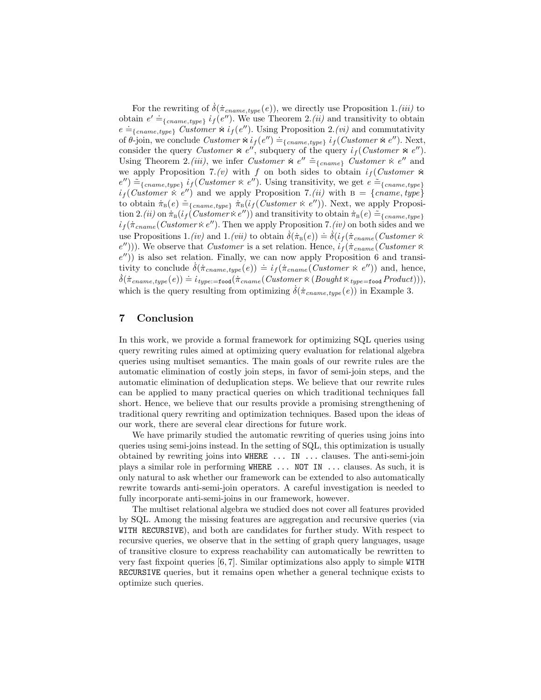For the rewriting of  $\delta(\dot{\pi}_{cname,type}(e))$ , we directly use Proposition 1.*(iii)* to obtain  $e' \doteq_{\{change, type\}} i_f(e'')$ . We use Theorem 2.*(ii)* and transitivity to obtain  $e \doteq_{\{change, type\}}$  Customer  $\forall$  if  $(e'')$ . Using Proposition 2.(vi) and commutativity of  $\theta$ -join, we conclude *Customer*  $\forall i$  i<sub>f</sub>( $e''$ )  $\doteq_{\{change, type\}} i$  if( $\acute{C}$ *ustomer*  $\forall e''$ ). Next, consider the query Customer  $\dot{\bowtie}$  e'', subquery of the query  $i_f$  (Customer  $\dot{\bowtie}$  e''). Using Theorem 2.(*iii*), we infer Customer  $\dot{\mathbf{x}} e'' \equiv_{\{change\}} \dot{C}$ ustomer  $\dot{\mathbf{x}} e''$  and we apply Proposition 7.(v) with f on both sides to obtain  $i_f$  (Customer  $\dot{\bowtie}$  $e'$ )  $\tilde{=}$ {cname,type} if (Customer  $\kappa e''$ ). Using transitivity, we get  $e \tilde{=}$ {cname,type}  $i_f$  (Customer  $\dot{\kappa}$  e'') and we apply Proposition 7.(ii) with  $\beta$  = {cname, type} to obtain  $\pi_{\text{B}}(e) \cong_{\{change, type\}} \pi_{\text{B}}(i_f(Customer \Join e''))$ . Next, we apply Proposition 2.(*ii*) on  $\pi_{\text{B}}(i_f(Customer \kappa e''))$  and transitivity to obtain  $\pi_{\text{B}}(e) \equiv_{\{change, type\}}$  $i_f(\pi_{cname}(Customer \times e'')$ . Then we apply Proposition 7.*(iv)* on both sides and we use Propositions 1.*(iv)* and 1.*(vii)* to obtain  $\delta(\pi_{\text{B}}(e)) = \delta(i_f(\pi_{\text{cname}}(Customer \times$  $(e''))$ ). We observe that *Customer* is a set relation. Hence,  $i_f(\pi_{cname}(Customer \times$  $(e'')$ ) is also set relation. Finally, we can now apply Proposition 6 and transitivity to conclude  $\delta(\pi_{\text{cname},type}(e)) = i_f(\pi_{\text{cname}}(Customer \times e''))$  and, hence,  $\dot{\delta}(\pi_{\text{cname,type}}(e)) \doteq i_{\text{type}:=\texttt{food}}(\dot{\pi}_{\text{cname}}(Customer \times (Bought \times_{\text{type}=\texttt{food}} Product))),$ which is the query resulting from optimizing  $\dot{\delta}(\dot{\pi}_{cname,time}(e))$  in Example 3.

## 7 Conclusion

In this work, we provide a formal framework for optimizing SQL queries using query rewriting rules aimed at optimizing query evaluation for relational algebra queries using multiset semantics. The main goals of our rewrite rules are the automatic elimination of costly join steps, in favor of semi-join steps, and the automatic elimination of deduplication steps. We believe that our rewrite rules can be applied to many practical queries on which traditional techniques fall short. Hence, we believe that our results provide a promising strengthening of traditional query rewriting and optimization techniques. Based upon the ideas of our work, there are several clear directions for future work.

We have primarily studied the automatic rewriting of queries using joins into queries using semi-joins instead. In the setting of SQL, this optimization is usually obtained by rewriting joins into WHERE ... IN ... clauses. The anti-semi-join plays a similar role in performing WHERE ... NOT IN ... clauses. As such, it is only natural to ask whether our framework can be extended to also automatically rewrite towards anti-semi-join operators. A careful investigation is needed to fully incorporate anti-semi-joins in our framework, however.

The multiset relational algebra we studied does not cover all features provided by SQL. Among the missing features are aggregation and recursive queries (via WITH RECURSIVE), and both are candidates for further study. With respect to recursive queries, we observe that in the setting of graph query languages, usage of transitive closure to express reachability can automatically be rewritten to very fast fixpoint queries [6, 7]. Similar optimizations also apply to simple WITH RECURSIVE queries, but it remains open whether a general technique exists to optimize such queries.